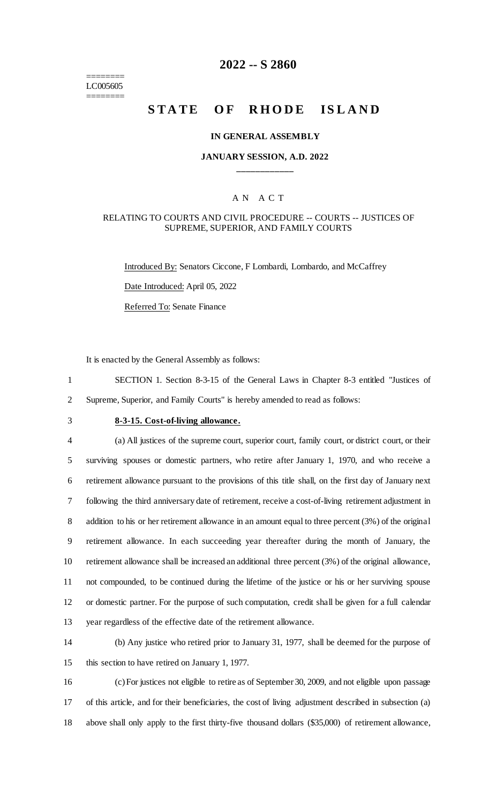======== LC005605 ========

# **2022 -- S 2860**

# **STATE OF RHODE ISLAND**

#### **IN GENERAL ASSEMBLY**

### **JANUARY SESSION, A.D. 2022 \_\_\_\_\_\_\_\_\_\_\_\_**

### A N A C T

### RELATING TO COURTS AND CIVIL PROCEDURE -- COURTS -- JUSTICES OF SUPREME, SUPERIOR, AND FAMILY COURTS

Introduced By: Senators Ciccone, F Lombardi, Lombardo, and McCaffrey Date Introduced: April 05, 2022 Referred To: Senate Finance

It is enacted by the General Assembly as follows:

1 SECTION 1. Section 8-3-15 of the General Laws in Chapter 8-3 entitled "Justices of 2 Supreme, Superior, and Family Courts" is hereby amended to read as follows:

# 3 **8-3-15. Cost-of-living allowance.**

 (a) All justices of the supreme court, superior court, family court, or district court, or their surviving spouses or domestic partners, who retire after January 1, 1970, and who receive a retirement allowance pursuant to the provisions of this title shall, on the first day of January next following the third anniversary date of retirement, receive a cost-of-living retirement adjustment in addition to his or her retirement allowance in an amount equal to three percent (3%) of the original retirement allowance. In each succeeding year thereafter during the month of January, the retirement allowance shall be increased an additional three percent (3%) of the original allowance, not compounded, to be continued during the lifetime of the justice or his or her surviving spouse or domestic partner. For the purpose of such computation, credit shall be given for a full calendar year regardless of the effective date of the retirement allowance.

14 (b) Any justice who retired prior to January 31, 1977, shall be deemed for the purpose of 15 this section to have retired on January 1, 1977.

16 (c) For justices not eligible to retire as of September 30, 2009, and not eligible upon passage 17 of this article, and for their beneficiaries, the cost of living adjustment described in subsection (a) 18 above shall only apply to the first thirty-five thousand dollars (\$35,000) of retirement allowance,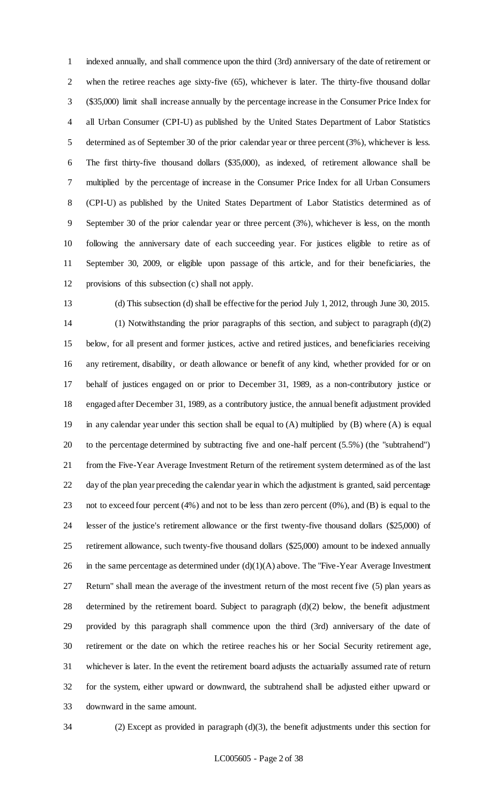indexed annually, and shall commence upon the third (3rd) anniversary of the date of retirement or when the retiree reaches age sixty-five (65), whichever is later. The thirty-five thousand dollar (\$35,000) limit shall increase annually by the percentage increase in the Consumer Price Index for all Urban Consumer (CPI-U) as published by the United States Department of Labor Statistics determined as of September 30 of the prior calendar year or three percent (3%), whichever is less. The first thirty-five thousand dollars (\$35,000), as indexed, of retirement allowance shall be multiplied by the percentage of increase in the Consumer Price Index for all Urban Consumers (CPI-U) as published by the United States Department of Labor Statistics determined as of September 30 of the prior calendar year or three percent (3%), whichever is less, on the month following the anniversary date of each succeeding year. For justices eligible to retire as of September 30, 2009, or eligible upon passage of this article, and for their beneficiaries, the provisions of this subsection (c) shall not apply.

(d) This subsection (d) shall be effective for the period July 1, 2012, through June 30, 2015.

 (1) Notwithstanding the prior paragraphs of this section, and subject to paragraph (d)(2) below, for all present and former justices, active and retired justices, and beneficiaries receiving any retirement, disability, or death allowance or benefit of any kind, whether provided for or on behalf of justices engaged on or prior to December 31, 1989, as a non-contributory justice or engaged after December 31, 1989, as a contributory justice, the annual benefit adjustment provided in any calendar year under this section shall be equal to (A) multiplied by (B) where (A) is equal to the percentage determined by subtracting five and one-half percent (5.5%) (the "subtrahend") from the Five-Year Average Investment Return of the retirement system determined as of the last day of the plan year preceding the calendar year in which the adjustment is granted, said percentage not to exceed four percent (4%) and not to be less than zero percent (0%), and (B) is equal to the lesser of the justice's retirement allowance or the first twenty-five thousand dollars (\$25,000) of retirement allowance, such twenty-five thousand dollars (\$25,000) amount to be indexed annually 26 in the same percentage as determined under  $(d)(1)(A)$  above. The "Five-Year Average Investment" Return" shall mean the average of the investment return of the most recent five (5) plan years as determined by the retirement board. Subject to paragraph (d)(2) below, the benefit adjustment provided by this paragraph shall commence upon the third (3rd) anniversary of the date of retirement or the date on which the retiree reaches his or her Social Security retirement age, whichever is later. In the event the retirement board adjusts the actuarially assumed rate of return for the system, either upward or downward, the subtrahend shall be adjusted either upward or downward in the same amount.



(2) Except as provided in paragraph (d)(3), the benefit adjustments under this section for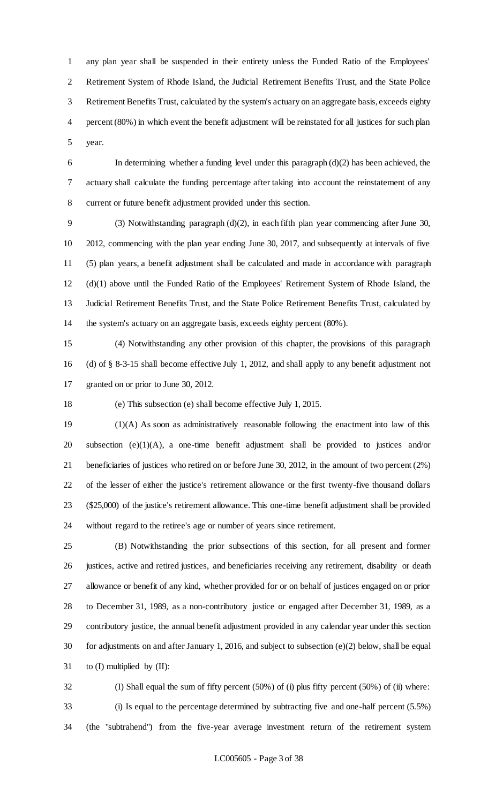any plan year shall be suspended in their entirety unless the Funded Ratio of the Employees' Retirement System of Rhode Island, the Judicial Retirement Benefits Trust, and the State Police Retirement Benefits Trust, calculated by the system's actuary on an aggregate basis, exceeds eighty percent (80%) in which event the benefit adjustment will be reinstated for all justices for such plan year.

 In determining whether a funding level under this paragraph (d)(2) has been achieved, the actuary shall calculate the funding percentage after taking into account the reinstatement of any current or future benefit adjustment provided under this section.

 (3) Notwithstanding paragraph (d)(2), in each fifth plan year commencing after June 30, 2012, commencing with the plan year ending June 30, 2017, and subsequently at intervals of five (5) plan years, a benefit adjustment shall be calculated and made in accordance with paragraph (d)(1) above until the Funded Ratio of the Employees' Retirement System of Rhode Island, the Judicial Retirement Benefits Trust, and the State Police Retirement Benefits Trust, calculated by the system's actuary on an aggregate basis, exceeds eighty percent (80%).

 (4) Notwithstanding any other provision of this chapter, the provisions of this paragraph (d) of § 8-3-15 shall become effective July 1, 2012, and shall apply to any benefit adjustment not granted on or prior to June 30, 2012.

(e) This subsection (e) shall become effective July 1, 2015.

 (1)(A) As soon as administratively reasonable following the enactment into law of this subsection (e)(1)(A), a one-time benefit adjustment shall be provided to justices and/or beneficiaries of justices who retired on or before June 30, 2012, in the amount of two percent (2%) of the lesser of either the justice's retirement allowance or the first twenty-five thousand dollars (\$25,000) of the justice's retirement allowance. This one-time benefit adjustment shall be provided without regard to the retiree's age or number of years since retirement.

 (B) Notwithstanding the prior subsections of this section, for all present and former justices, active and retired justices, and beneficiaries receiving any retirement, disability or death allowance or benefit of any kind, whether provided for or on behalf of justices engaged on or prior to December 31, 1989, as a non-contributory justice or engaged after December 31, 1989, as a contributory justice, the annual benefit adjustment provided in any calendar year under this section for adjustments on and after January 1, 2016, and subject to subsection (e)(2) below, shall be equal to (I) multiplied by (II):

 (I) Shall equal the sum of fifty percent (50%) of (i) plus fifty percent (50%) of (ii) where: (i) Is equal to the percentage determined by subtracting five and one-half percent (5.5%) (the "subtrahend") from the five-year average investment return of the retirement system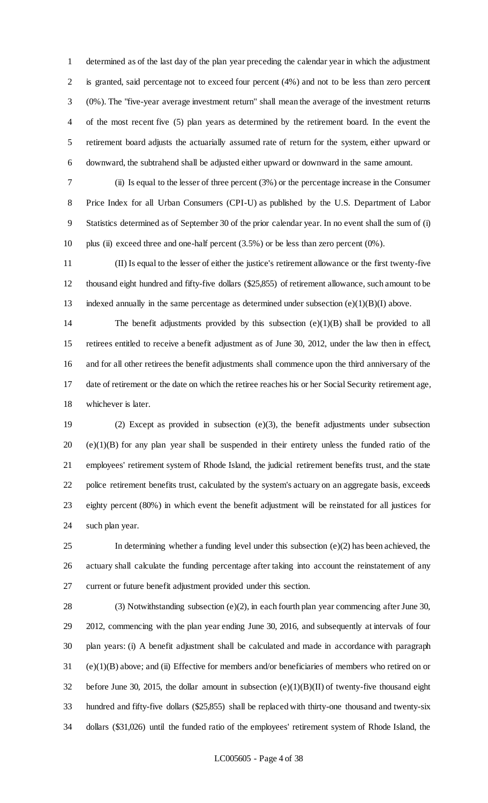determined as of the last day of the plan year preceding the calendar year in which the adjustment is granted, said percentage not to exceed four percent (4%) and not to be less than zero percent (0%). The "five-year average investment return" shall mean the average of the investment returns of the most recent five (5) plan years as determined by the retirement board. In the event the retirement board adjusts the actuarially assumed rate of return for the system, either upward or downward, the subtrahend shall be adjusted either upward or downward in the same amount.

 (ii) Is equal to the lesser of three percent (3%) or the percentage increase in the Consumer Price Index for all Urban Consumers (CPI-U) as published by the U.S. Department of Labor Statistics determined as of September 30 of the prior calendar year. In no event shall the sum of (i) plus (ii) exceed three and one-half percent (3.5%) or be less than zero percent (0%).

 (II) Is equal to the lesser of either the justice's retirement allowance or the first twenty-five thousand eight hundred and fifty-five dollars (\$25,855) of retirement allowance, such amount to be 13 indexed annually in the same percentage as determined under subsection  $(e)(1)(B)(I)$  above.

 The benefit adjustments provided by this subsection (e)(1)(B) shall be provided to all retirees entitled to receive a benefit adjustment as of June 30, 2012, under the law then in effect, and for all other retirees the benefit adjustments shall commence upon the third anniversary of the date of retirement or the date on which the retiree reaches his or her Social Security retirement age, whichever is later.

 (2) Except as provided in subsection (e)(3), the benefit adjustments under subsection (e)(1)(B) for any plan year shall be suspended in their entirety unless the funded ratio of the employees' retirement system of Rhode Island, the judicial retirement benefits trust, and the state police retirement benefits trust, calculated by the system's actuary on an aggregate basis, exceeds eighty percent (80%) in which event the benefit adjustment will be reinstated for all justices for such plan year.

25 In determining whether a funding level under this subsection  $(e)(2)$  has been achieved, the actuary shall calculate the funding percentage after taking into account the reinstatement of any current or future benefit adjustment provided under this section.

 (3) Notwithstanding subsection (e)(2), in each fourth plan year commencing after June 30, 2012, commencing with the plan year ending June 30, 2016, and subsequently at intervals of four plan years: (i) A benefit adjustment shall be calculated and made in accordance with paragraph (e)(1)(B) above; and (ii) Effective for members and/or beneficiaries of members who retired on or 32 before June 30, 2015, the dollar amount in subsection  $(e)(1)(B)(II)$  of twenty-five thousand eight hundred and fifty-five dollars (\$25,855) shall be replaced with thirty-one thousand and twenty-six dollars (\$31,026) until the funded ratio of the employees' retirement system of Rhode Island, the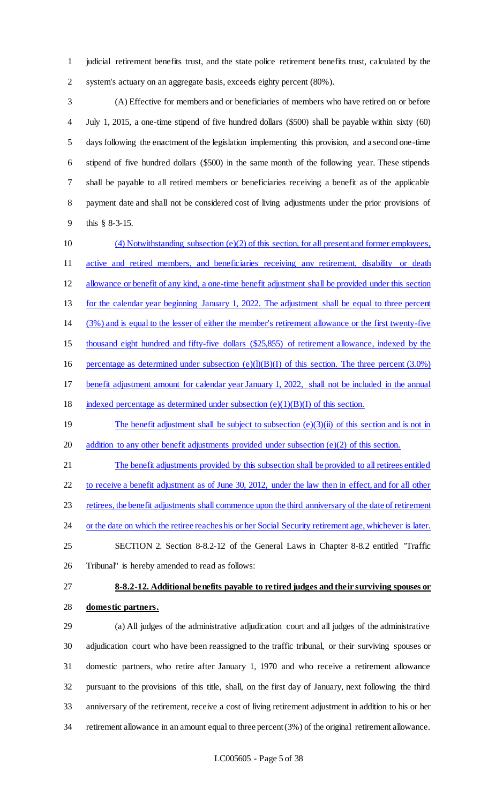judicial retirement benefits trust, and the state police retirement benefits trust, calculated by the system's actuary on an aggregate basis, exceeds eighty percent (80%).

 (A) Effective for members and or beneficiaries of members who have retired on or before July 1, 2015, a one-time stipend of five hundred dollars (\$500) shall be payable within sixty (60) days following the enactment of the legislation implementing this provision, and a second one-time stipend of five hundred dollars (\$500) in the same month of the following year. These stipends shall be payable to all retired members or beneficiaries receiving a benefit as of the applicable payment date and shall not be considered cost of living adjustments under the prior provisions of this § 8-3-15.

 (4) Notwithstanding subsection (e)(2) of this section, for all present and former employees, 11 active and retired members, and beneficiaries receiving any retirement, disability or death allowance or benefit of any kind, a one-time benefit adjustment shall be provided under this section for the calendar year beginning January 1, 2022. The adjustment shall be equal to three percent (3%) and is equal to the lesser of either the member's retirement allowance or the first twenty-five thousand eight hundred and fifty-five dollars (\$25,855) of retirement allowance, indexed by the 16 percentage as determined under subsection  $(e)(l)(B)(I)$  of this section. The three percent (3.0%) benefit adjustment amount for calendar year January 1, 2022, shall not be included in the annual 18 indexed percentage as determined under subsection  $(e)(1)(B)(I)$  of this section. 19 The benefit adjustment shall be subject to subsection (e)(3)(ii) of this section and is not in 20 addition to any other benefit adjustments provided under subsection (e)(2) of this section. The benefit adjustments provided by this subsection shall be provided to all retirees entitled to receive a benefit adjustment as of June 30, 2012, under the law then in effect, and for all other retirees, the benefit adjustments shall commence upon the third anniversary of the date of retirement 24 or the date on which the retiree reaches his or her Social Security retirement age, whichever is later. SECTION 2. Section 8-8.2-12 of the General Laws in Chapter 8-8.2 entitled "Traffic

- Tribunal" is hereby amended to read as follows:
- 

# **8-8.2-12. Additional benefits payable to retired judges and their surviving spouses or**

#### **domestic partners.**

 (a) All judges of the administrative adjudication court and all judges of the administrative adjudication court who have been reassigned to the traffic tribunal, or their surviving spouses or domestic partners, who retire after January 1, 1970 and who receive a retirement allowance pursuant to the provisions of this title, shall, on the first day of January, next following the third anniversary of the retirement, receive a cost of living retirement adjustment in addition to his or her retirement allowance in an amount equal to three percent (3%) of the original retirement allowance.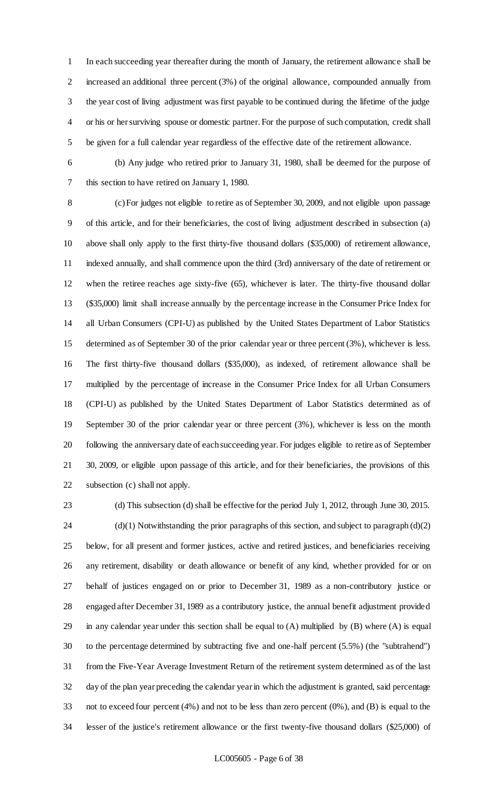In each succeeding year thereafter during the month of January, the retirement allowance shall be increased an additional three percent (3%) of the original allowance, compounded annually from the year cost of living adjustment was first payable to be continued during the lifetime of the judge or his or her surviving spouse or domestic partner. For the purpose of such computation, credit shall be given for a full calendar year regardless of the effective date of the retirement allowance.

 (b) Any judge who retired prior to January 31, 1980, shall be deemed for the purpose of this section to have retired on January 1, 1980.

 (c) For judges not eligible to retire as of September 30, 2009, and not eligible upon passage of this article, and for their beneficiaries, the cost of living adjustment described in subsection (a) above shall only apply to the first thirty-five thousand dollars (\$35,000) of retirement allowance, indexed annually, and shall commence upon the third (3rd) anniversary of the date of retirement or when the retiree reaches age sixty-five (65), whichever is later. The thirty-five thousand dollar (\$35,000) limit shall increase annually by the percentage increase in the Consumer Price Index for all Urban Consumers (CPI-U) as published by the United States Department of Labor Statistics determined as of September 30 of the prior calendar year or three percent (3%), whichever is less. The first thirty-five thousand dollars (\$35,000), as indexed, of retirement allowance shall be multiplied by the percentage of increase in the Consumer Price Index for all Urban Consumers (CPI-U) as published by the United States Department of Labor Statistics determined as of September 30 of the prior calendar year or three percent (3%), whichever is less on the month following the anniversary date of each succeeding year. For judges eligible to retire as of September 30, 2009, or eligible upon passage of this article, and for their beneficiaries, the provisions of this subsection (c) shall not apply.

 (d) This subsection (d) shall be effective for the period July 1, 2012, through June 30, 2015. (d)(1) Notwithstanding the prior paragraphs of this section, and subject to paragraph (d)(2) below, for all present and former justices, active and retired justices, and beneficiaries receiving any retirement, disability or death allowance or benefit of any kind, whether provided for or on behalf of justices engaged on or prior to December 31, 1989 as a non-contributory justice or engaged after December 31, 1989 as a contributory justice, the annual benefit adjustment provided in any calendar year under this section shall be equal to (A) multiplied by (B) where (A) is equal to the percentage determined by subtracting five and one-half percent (5.5%) (the "subtrahend") from the Five-Year Average Investment Return of the retirement system determined as of the last day of the plan year preceding the calendar year in which the adjustment is granted, said percentage not to exceed four percent (4%) and not to be less than zero percent (0%), and (B) is equal to the lesser of the justice's retirement allowance or the first twenty-five thousand dollars (\$25,000) of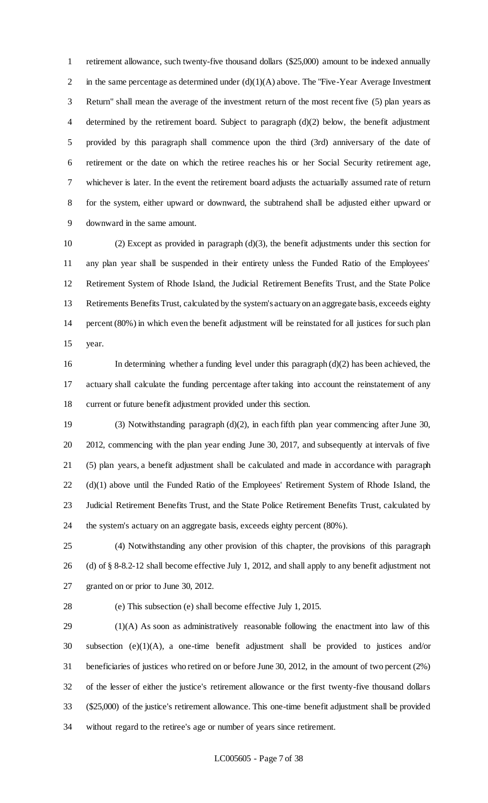retirement allowance, such twenty-five thousand dollars (\$25,000) amount to be indexed annually 2 in the same percentage as determined under  $(d)(1)(A)$  above. The "Five-Year Average Investment" Return" shall mean the average of the investment return of the most recent five (5) plan years as determined by the retirement board. Subject to paragraph (d)(2) below, the benefit adjustment provided by this paragraph shall commence upon the third (3rd) anniversary of the date of retirement or the date on which the retiree reaches his or her Social Security retirement age, whichever is later. In the event the retirement board adjusts the actuarially assumed rate of return for the system, either upward or downward, the subtrahend shall be adjusted either upward or downward in the same amount.

 (2) Except as provided in paragraph (d)(3), the benefit adjustments under this section for any plan year shall be suspended in their entirety unless the Funded Ratio of the Employees' Retirement System of Rhode Island, the Judicial Retirement Benefits Trust, and the State Police Retirements Benefits Trust, calculated by the system's actuary on an aggregate basis, exceeds eighty percent (80%) in which even the benefit adjustment will be reinstated for all justices for such plan year.

16 In determining whether a funding level under this paragraph  $(d)(2)$  has been achieved, the actuary shall calculate the funding percentage after taking into account the reinstatement of any current or future benefit adjustment provided under this section.

 (3) Notwithstanding paragraph (d)(2), in each fifth plan year commencing after June 30, 2012, commencing with the plan year ending June 30, 2017, and subsequently at intervals of five (5) plan years, a benefit adjustment shall be calculated and made in accordance with paragraph (d)(1) above until the Funded Ratio of the Employees' Retirement System of Rhode Island, the Judicial Retirement Benefits Trust, and the State Police Retirement Benefits Trust, calculated by the system's actuary on an aggregate basis, exceeds eighty percent (80%).

 (4) Notwithstanding any other provision of this chapter, the provisions of this paragraph (d) of § 8-8.2-12 shall become effective July 1, 2012, and shall apply to any benefit adjustment not granted on or prior to June 30, 2012.

(e) This subsection (e) shall become effective July 1, 2015.

 (1)(A) As soon as administratively reasonable following the enactment into law of this subsection (e)(1)(A), a one-time benefit adjustment shall be provided to justices and/or beneficiaries of justices who retired on or before June 30, 2012, in the amount of two percent (2%) of the lesser of either the justice's retirement allowance or the first twenty-five thousand dollars (\$25,000) of the justice's retirement allowance. This one-time benefit adjustment shall be provided without regard to the retiree's age or number of years since retirement.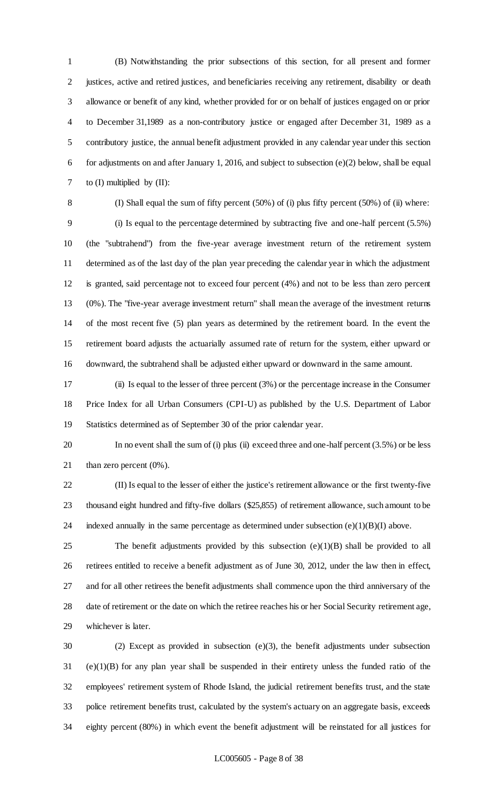(B) Notwithstanding the prior subsections of this section, for all present and former justices, active and retired justices, and beneficiaries receiving any retirement, disability or death allowance or benefit of any kind, whether provided for or on behalf of justices engaged on or prior to December 31,1989 as a non-contributory justice or engaged after December 31, 1989 as a contributory justice, the annual benefit adjustment provided in any calendar year under this section for adjustments on and after January 1, 2016, and subject to subsection (e)(2) below, shall be equal 7 to (I) multiplied by (II):

 (I) Shall equal the sum of fifty percent (50%) of (i) plus fifty percent (50%) of (ii) where: (i) Is equal to the percentage determined by subtracting five and one-half percent (5.5%) (the "subtrahend") from the five-year average investment return of the retirement system determined as of the last day of the plan year preceding the calendar year in which the adjustment is granted, said percentage not to exceed four percent (4%) and not to be less than zero percent (0%). The "five-year average investment return" shall mean the average of the investment returns of the most recent five (5) plan years as determined by the retirement board. In the event the retirement board adjusts the actuarially assumed rate of return for the system, either upward or downward, the subtrahend shall be adjusted either upward or downward in the same amount.

 (ii) Is equal to the lesser of three percent (3%) or the percentage increase in the Consumer Price Index for all Urban Consumers (CPI-U) as published by the U.S. Department of Labor Statistics determined as of September 30 of the prior calendar year.

 In no event shall the sum of (i) plus (ii) exceed three and one-half percent (3.5%) or be less 21 than zero percent  $(0\%)$ .

 (II) Is equal to the lesser of either the justice's retirement allowance or the first twenty-five thousand eight hundred and fifty-five dollars (\$25,855) of retirement allowance, such amount to be 24 indexed annually in the same percentage as determined under subsection  $(e)(1)(B)(I)$  above.

25 The benefit adjustments provided by this subsection  $(e)(1)(B)$  shall be provided to all retirees entitled to receive a benefit adjustment as of June 30, 2012, under the law then in effect, and for all other retirees the benefit adjustments shall commence upon the third anniversary of the date of retirement or the date on which the retiree reaches his or her Social Security retirement age, whichever is later.

 (2) Except as provided in subsection (e)(3), the benefit adjustments under subsection (e)(1)(B) for any plan year shall be suspended in their entirety unless the funded ratio of the employees' retirement system of Rhode Island, the judicial retirement benefits trust, and the state police retirement benefits trust, calculated by the system's actuary on an aggregate basis, exceeds eighty percent (80%) in which event the benefit adjustment will be reinstated for all justices for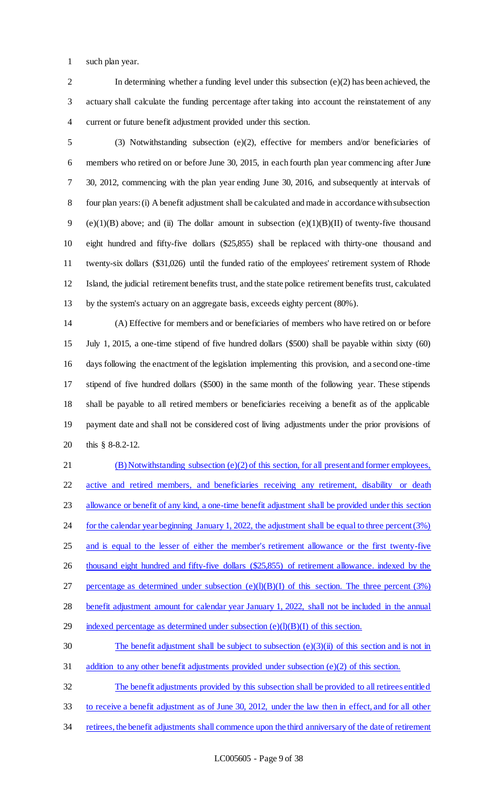such plan year.

 In determining whether a funding level under this subsection (e)(2) has been achieved, the actuary shall calculate the funding percentage after taking into account the reinstatement of any current or future benefit adjustment provided under this section.

 (3) Notwithstanding subsection (e)(2), effective for members and/or beneficiaries of members who retired on or before June 30, 2015, in each fourth plan year commencing after June 30, 2012, commencing with the plan year ending June 30, 2016, and subsequently at intervals of four plan years: (i) A benefit adjustment shall be calculated and made in accordance with subsection 9 (e)(1)(B) above; and (ii) The dollar amount in subsection (e)(1)(B)(II) of twenty-five thousand eight hundred and fifty-five dollars (\$25,855) shall be replaced with thirty-one thousand and twenty-six dollars (\$31,026) until the funded ratio of the employees' retirement system of Rhode Island, the judicial retirement benefits trust, and the state police retirement benefits trust, calculated by the system's actuary on an aggregate basis, exceeds eighty percent (80%).

 (A) Effective for members and or beneficiaries of members who have retired on or before July 1, 2015, a one-time stipend of five hundred dollars (\$500) shall be payable within sixty (60) days following the enactment of the legislation implementing this provision, and a second one-time stipend of five hundred dollars (\$500) in the same month of the following year. These stipends shall be payable to all retired members or beneficiaries receiving a benefit as of the applicable payment date and shall not be considered cost of living adjustments under the prior provisions of this § 8-8.2-12.

 (B) Notwithstanding subsection (e)(2) of this section, for all present and former employees, active and retired members, and beneficiaries receiving any retirement, disability or death allowance or benefit of any kind, a one-time benefit adjustment shall be provided under this section 24 for the calendar year beginning January 1, 2022, the adjustment shall be equal to three percent (3%) and is equal to the lesser of either the member's retirement allowance or the first twenty-five 26 thousand eight hundred and fifty-five dollars (\$25,855) of retirement allowance. indexed by the 27 percentage as determined under subsection  $(e)(l)(B)(I)$  of this section. The three percent (3%) benefit adjustment amount for calendar year January 1, 2022, shall not be included in the annual 29 indexed percentage as determined under subsection  $(e)(l)(B)(I)$  of this section. 30 The benefit adjustment shall be subject to subsection (e)(3)(ii) of this section and is not in 31 addition to any other benefit adjustments provided under subsection (e)(2) of this section.

The benefit adjustments provided by this subsection shall be provided to all retirees entitled

to receive a benefit adjustment as of June 30, 2012, under the law then in effect, and for all other

34 retirees, the benefit adjustments shall commence upon the third anniversary of the date of retirement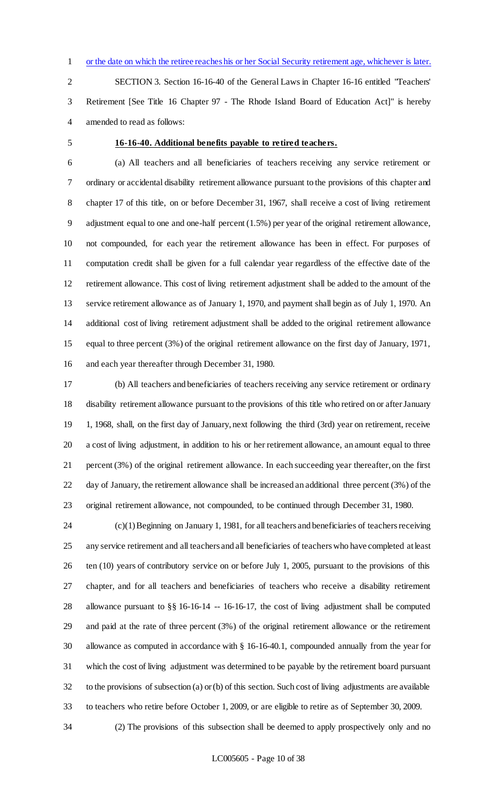or the date on which the retiree reaches his or her Social Security retirement age, whichever is later.

 SECTION 3. Section 16-16-40 of the General Laws in Chapter 16-16 entitled "Teachers' Retirement [See Title 16 Chapter 97 - The Rhode Island Board of Education Act]" is hereby amended to read as follows:

#### **16-16-40. Additional benefits payable to retired teachers.**

 (a) All teachers and all beneficiaries of teachers receiving any service retirement or ordinary or accidental disability retirement allowance pursuant to the provisions of this chapter and chapter 17 of this title, on or before December 31, 1967, shall receive a cost of living retirement adjustment equal to one and one-half percent (1.5%) per year of the original retirement allowance, not compounded, for each year the retirement allowance has been in effect. For purposes of computation credit shall be given for a full calendar year regardless of the effective date of the retirement allowance. This cost of living retirement adjustment shall be added to the amount of the service retirement allowance as of January 1, 1970, and payment shall begin as of July 1, 1970. An additional cost of living retirement adjustment shall be added to the original retirement allowance equal to three percent (3%) of the original retirement allowance on the first day of January, 1971, and each year thereafter through December 31, 1980.

 (b) All teachers and beneficiaries of teachers receiving any service retirement or ordinary disability retirement allowance pursuant to the provisions of this title who retired on or after January 1, 1968, shall, on the first day of January, next following the third (3rd) year on retirement, receive a cost of living adjustment, in addition to his or her retirement allowance, an amount equal to three percent (3%) of the original retirement allowance. In each succeeding year thereafter, on the first day of January, the retirement allowance shall be increased an additional three percent (3%) of the original retirement allowance, not compounded, to be continued through December 31, 1980.

 (c)(1) Beginning on January 1, 1981, for all teachers and beneficiaries of teachers receiving any service retirement and all teachers and all beneficiaries of teachers who have completed at least ten (10) years of contributory service on or before July 1, 2005, pursuant to the provisions of this chapter, and for all teachers and beneficiaries of teachers who receive a disability retirement allowance pursuant to §§ 16-16-14 -- 16-16-17, the cost of living adjustment shall be computed and paid at the rate of three percent (3%) of the original retirement allowance or the retirement allowance as computed in accordance with § 16-16-40.1, compounded annually from the year for which the cost of living adjustment was determined to be payable by the retirement board pursuant to the provisions of subsection (a) or (b) of this section. Such cost of living adjustments are available to teachers who retire before October 1, 2009, or are eligible to retire as of September 30, 2009.

(2) The provisions of this subsection shall be deemed to apply prospectively only and no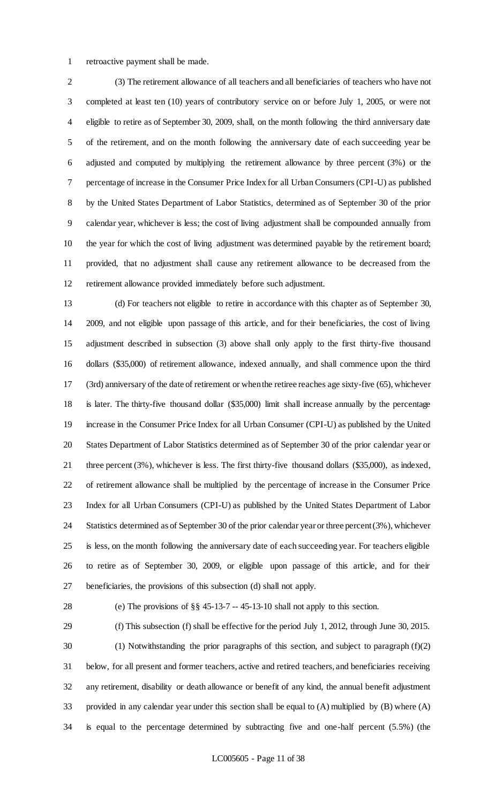retroactive payment shall be made.

 (3) The retirement allowance of all teachers and all beneficiaries of teachers who have not completed at least ten (10) years of contributory service on or before July 1, 2005, or were not eligible to retire as of September 30, 2009, shall, on the month following the third anniversary date of the retirement, and on the month following the anniversary date of each succeeding year be adjusted and computed by multiplying the retirement allowance by three percent (3%) or the percentage of increase in the Consumer Price Index for all Urban Consumers (CPI-U) as published by the United States Department of Labor Statistics, determined as of September 30 of the prior calendar year, whichever is less; the cost of living adjustment shall be compounded annually from the year for which the cost of living adjustment was determined payable by the retirement board; provided, that no adjustment shall cause any retirement allowance to be decreased from the retirement allowance provided immediately before such adjustment.

 (d) For teachers not eligible to retire in accordance with this chapter as of September 30, 2009, and not eligible upon passage of this article, and for their beneficiaries, the cost of living adjustment described in subsection (3) above shall only apply to the first thirty-five thousand dollars (\$35,000) of retirement allowance, indexed annually, and shall commence upon the third (3rd) anniversary of the date of retirement or when the retiree reaches age sixty-five (65), whichever is later. The thirty-five thousand dollar (\$35,000) limit shall increase annually by the percentage increase in the Consumer Price Index for all Urban Consumer (CPI-U) as published by the United States Department of Labor Statistics determined as of September 30 of the prior calendar year or three percent (3%), whichever is less. The first thirty-five thousand dollars (\$35,000), as indexed, of retirement allowance shall be multiplied by the percentage of increase in the Consumer Price Index for all Urban Consumers (CPI-U) as published by the United States Department of Labor Statistics determined as of September 30 of the prior calendar year or three percent (3%), whichever is less, on the month following the anniversary date of each succeeding year. For teachers eligible to retire as of September 30, 2009, or eligible upon passage of this article, and for their beneficiaries, the provisions of this subsection (d) shall not apply.

(e) The provisions of §§ 45-13-7 -- 45-13-10 shall not apply to this section.

 (f) This subsection (f) shall be effective for the period July 1, 2012, through June 30, 2015. (1) Notwithstanding the prior paragraphs of this section, and subject to paragraph (f)(2) below, for all present and former teachers, active and retired teachers, and beneficiaries receiving any retirement, disability or death allowance or benefit of any kind, the annual benefit adjustment provided in any calendar year under this section shall be equal to (A) multiplied by (B) where (A) is equal to the percentage determined by subtracting five and one-half percent (5.5%) (the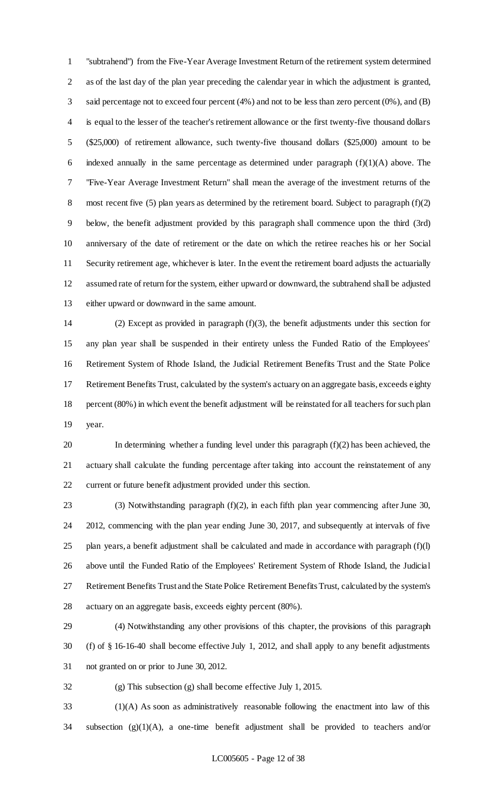"subtrahend") from the Five-Year Average Investment Return of the retirement system determined as of the last day of the plan year preceding the calendar year in which the adjustment is granted, said percentage not to exceed four percent (4%) and not to be less than zero percent (0%), and (B) is equal to the lesser of the teacher's retirement allowance or the first twenty-five thousand dollars (\$25,000) of retirement allowance, such twenty-five thousand dollars (\$25,000) amount to be 6 indexed annually in the same percentage as determined under paragraph  $(f)(1)(A)$  above. The "Five-Year Average Investment Return" shall mean the average of the investment returns of the 8 most recent five (5) plan years as determined by the retirement board. Subject to paragraph (f)(2) below, the benefit adjustment provided by this paragraph shall commence upon the third (3rd) anniversary of the date of retirement or the date on which the retiree reaches his or her Social Security retirement age, whichever is later. In the event the retirement board adjusts the actuarially assumed rate of return for the system, either upward or downward, the subtrahend shall be adjusted either upward or downward in the same amount.

 (2) Except as provided in paragraph (f)(3), the benefit adjustments under this section for any plan year shall be suspended in their entirety unless the Funded Ratio of the Employees' Retirement System of Rhode Island, the Judicial Retirement Benefits Trust and the State Police Retirement Benefits Trust, calculated by the system's actuary on an aggregate basis, exceeds eighty percent (80%) in which event the benefit adjustment will be reinstated for all teachers for such plan year.

 In determining whether a funding level under this paragraph (f)(2) has been achieved, the actuary shall calculate the funding percentage after taking into account the reinstatement of any current or future benefit adjustment provided under this section.

 (3) Notwithstanding paragraph (f)(2), in each fifth plan year commencing after June 30, 2012, commencing with the plan year ending June 30, 2017, and subsequently at intervals of five plan years, a benefit adjustment shall be calculated and made in accordance with paragraph  $(f)(l)$  above until the Funded Ratio of the Employees' Retirement System of Rhode Island, the Judicial Retirement Benefits Trust and the State Police Retirement Benefits Trust, calculated by the system's actuary on an aggregate basis, exceeds eighty percent (80%).

 (4) Notwithstanding any other provisions of this chapter, the provisions of this paragraph (f) of § 16-16-40 shall become effective July 1, 2012, and shall apply to any benefit adjustments not granted on or prior to June 30, 2012.

(g) This subsection (g) shall become effective July 1, 2015.

 (1)(A) As soon as administratively reasonable following the enactment into law of this subsection (g)(1)(A), a one-time benefit adjustment shall be provided to teachers and/or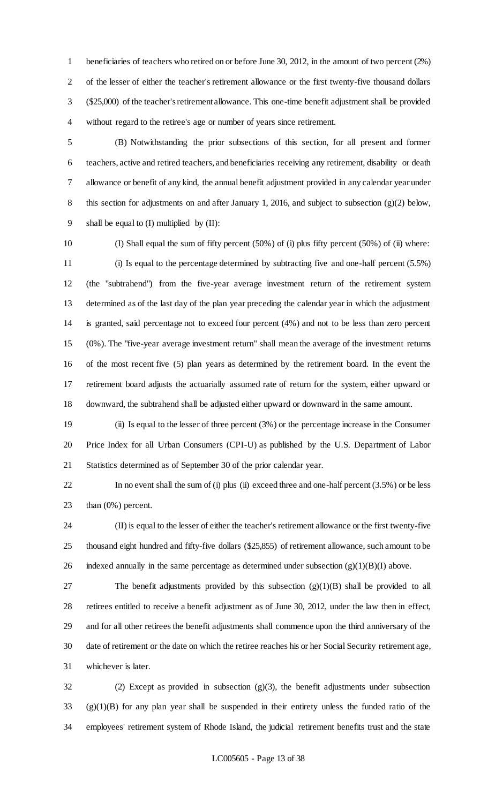beneficiaries of teachers who retired on or before June 30, 2012, in the amount of two percent (2%) of the lesser of either the teacher's retirement allowance or the first twenty-five thousand dollars (\$25,000) of the teacher's retirement allowance. This one-time benefit adjustment shall be provided without regard to the retiree's age or number of years since retirement.

 (B) Notwithstanding the prior subsections of this section, for all present and former teachers, active and retired teachers, and beneficiaries receiving any retirement, disability or death allowance or benefit of any kind, the annual benefit adjustment provided in any calendar year under 8 this section for adjustments on and after January 1, 2016, and subject to subsection (g)(2) below, 9 shall be equal to  $(I)$  multiplied by  $(II)$ :

 (I) Shall equal the sum of fifty percent (50%) of (i) plus fifty percent (50%) of (ii) where: (i) Is equal to the percentage determined by subtracting five and one-half percent (5.5%) (the "subtrahend") from the five-year average investment return of the retirement system determined as of the last day of the plan year preceding the calendar year in which the adjustment is granted, said percentage not to exceed four percent (4%) and not to be less than zero percent (0%). The "five-year average investment return" shall mean the average of the investment returns of the most recent five (5) plan years as determined by the retirement board. In the event the retirement board adjusts the actuarially assumed rate of return for the system, either upward or downward, the subtrahend shall be adjusted either upward or downward in the same amount.

 (ii) Is equal to the lesser of three percent (3%) or the percentage increase in the Consumer Price Index for all Urban Consumers (CPI-U) as published by the U.S. Department of Labor Statistics determined as of September 30 of the prior calendar year.

 In no event shall the sum of (i) plus (ii) exceed three and one-half percent (3.5%) or be less than (0%) percent.

 (II) is equal to the lesser of either the teacher's retirement allowance or the first twenty-five thousand eight hundred and fifty-five dollars (\$25,855) of retirement allowance, such amount to be 26 indexed annually in the same percentage as determined under subsection  $(g)(1)(B)(I)$  above.

 The benefit adjustments provided by this subsection (g)(1)(B) shall be provided to all retirees entitled to receive a benefit adjustment as of June 30, 2012, under the law then in effect, and for all other retirees the benefit adjustments shall commence upon the third anniversary of the date of retirement or the date on which the retiree reaches his or her Social Security retirement age, whichever is later.

 (2) Except as provided in subsection (g)(3), the benefit adjustments under subsection (g)(1)(B) for any plan year shall be suspended in their entirety unless the funded ratio of the employees' retirement system of Rhode Island, the judicial retirement benefits trust and the state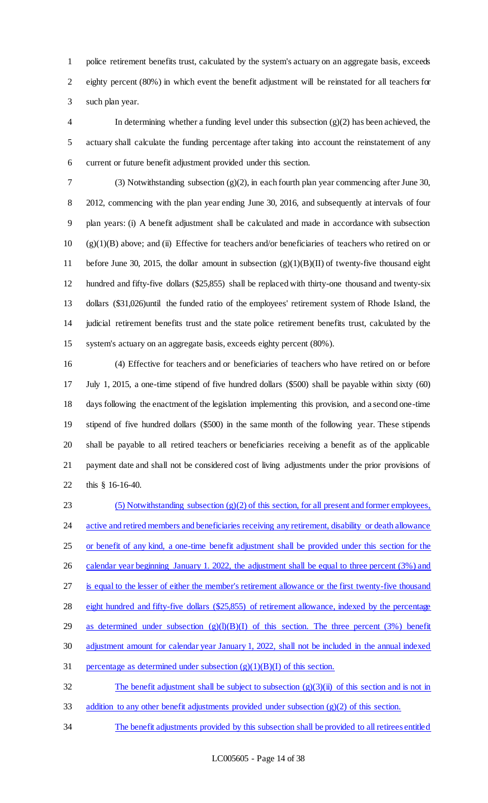police retirement benefits trust, calculated by the system's actuary on an aggregate basis, exceeds eighty percent (80%) in which event the benefit adjustment will be reinstated for all teachers for such plan year.

4 In determining whether a funding level under this subsection  $(g)(2)$  has been achieved, the actuary shall calculate the funding percentage after taking into account the reinstatement of any current or future benefit adjustment provided under this section.

 (3) Notwithstanding subsection (g)(2), in each fourth plan year commencing after June 30, 2012, commencing with the plan year ending June 30, 2016, and subsequently at intervals of four plan years: (i) A benefit adjustment shall be calculated and made in accordance with subsection (g)(1)(B) above; and (ii) Effective for teachers and/or beneficiaries of teachers who retired on or before June 30, 2015, the dollar amount in subsection (g)(1)(B)(II) of twenty-five thousand eight hundred and fifty-five dollars (\$25,855) shall be replaced with thirty-one thousand and twenty-six dollars (\$31,026)until the funded ratio of the employees' retirement system of Rhode Island, the judicial retirement benefits trust and the state police retirement benefits trust, calculated by the system's actuary on an aggregate basis, exceeds eighty percent (80%).

 (4) Effective for teachers and or beneficiaries of teachers who have retired on or before July 1, 2015, a one-time stipend of five hundred dollars (\$500) shall be payable within sixty (60) days following the enactment of the legislation implementing this provision, and a second one-time stipend of five hundred dollars (\$500) in the same month of the following year. These stipends shall be payable to all retired teachers or beneficiaries receiving a benefit as of the applicable payment date and shall not be considered cost of living adjustments under the prior provisions of this § 16-16-40.

23 (5) Notwithstanding subsection  $(g)(2)$  of this section, for all present and former employees, 24 active and retired members and beneficiaries receiving any retirement, disability or death allowance or benefit of any kind, a one-time benefit adjustment shall be provided under this section for the 26 calendar year beginning January 1. 2022, the adjustment shall be equal to three percent (3%) and is equal to the lesser of either the member's retirement allowance or the first twenty-five thousand eight hundred and fifty-five dollars (\$25,855) of retirement allowance, indexed by the percentage 29 as determined under subsection  $(g)(l)(B)(I)$  of this section. The three percent  $(3%)$  benefit adjustment amount for calendar year January 1, 2022, shall not be included in the annual indexed 31 percentage as determined under subsection  $(g)(1)(B)(I)$  of this section. 32 The benefit adjustment shall be subject to subsection  $(g)(3)(ii)$  of this section and is not in

addition to any other benefit adjustments provided under subsection (g)(2) of this section.

The benefit adjustments provided by this subsection shall be provided to all retirees entitled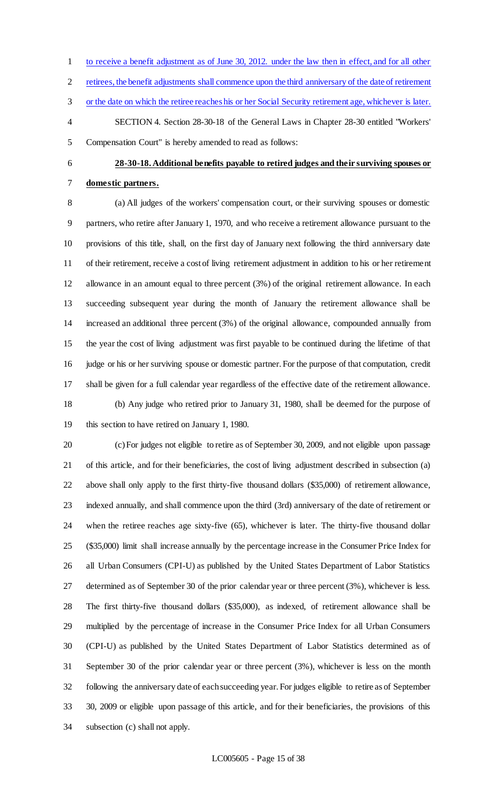- to receive a benefit adjustment as of June 30, 2012. under the law then in effect, and for all other
- retirees, the benefit adjustments shall commence upon the third anniversary of the date of retirement
- or the date on which the retiree reaches his or her Social Security retirement age, whichever is later.

 SECTION 4. Section 28-30-18 of the General Laws in Chapter 28-30 entitled "Workers' Compensation Court" is hereby amended to read as follows:

#### **28-30-18. Additional benefits payable to retired judges and their surviving spouses or**

# **domestic partners.**

 (a) All judges of the workers' compensation court, or their surviving spouses or domestic partners, who retire after January 1, 1970, and who receive a retirement allowance pursuant to the provisions of this title, shall, on the first day of January next following the third anniversary date of their retirement, receive a cost of living retirement adjustment in addition to his or her retirement allowance in an amount equal to three percent (3%) of the original retirement allowance. In each succeeding subsequent year during the month of January the retirement allowance shall be increased an additional three percent (3%) of the original allowance, compounded annually from the year the cost of living adjustment was first payable to be continued during the lifetime of that judge or his or her surviving spouse or domestic partner. For the purpose of that computation, credit shall be given for a full calendar year regardless of the effective date of the retirement allowance. (b) Any judge who retired prior to January 31, 1980, shall be deemed for the purpose of this section to have retired on January 1, 1980.

 (c) For judges not eligible to retire as of September 30, 2009, and not eligible upon passage of this article, and for their beneficiaries, the cost of living adjustment described in subsection (a) above shall only apply to the first thirty-five thousand dollars (\$35,000) of retirement allowance, indexed annually, and shall commence upon the third (3rd) anniversary of the date of retirement or when the retiree reaches age sixty-five (65), whichever is later. The thirty-five thousand dollar (\$35,000) limit shall increase annually by the percentage increase in the Consumer Price Index for all Urban Consumers (CPI-U) as published by the United States Department of Labor Statistics determined as of September 30 of the prior calendar year or three percent (3%), whichever is less. The first thirty-five thousand dollars (\$35,000), as indexed, of retirement allowance shall be multiplied by the percentage of increase in the Consumer Price Index for all Urban Consumers (CPI-U) as published by the United States Department of Labor Statistics determined as of September 30 of the prior calendar year or three percent (3%), whichever is less on the month following the anniversary date of each succeeding year. For judges eligible to retire as of September 30, 2009 or eligible upon passage of this article, and for their beneficiaries, the provisions of this subsection (c) shall not apply.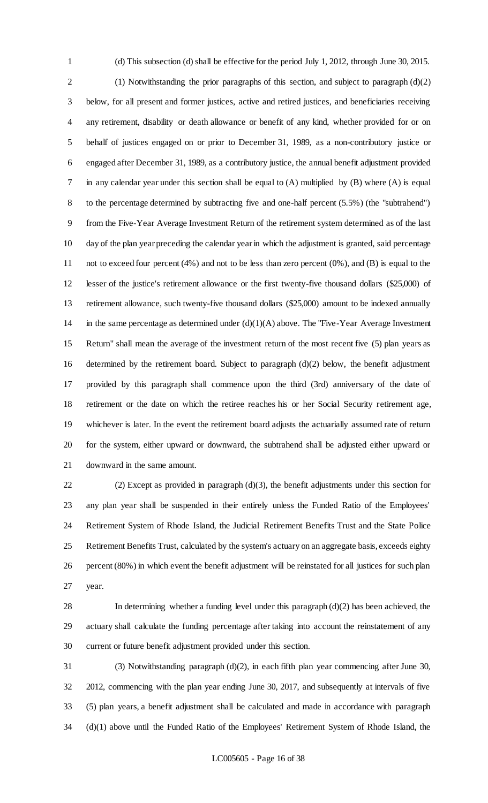(d) This subsection (d) shall be effective for the period July 1, 2012, through June 30, 2015. (1) Notwithstanding the prior paragraphs of this section, and subject to paragraph (d)(2) below, for all present and former justices, active and retired justices, and beneficiaries receiving any retirement, disability or death allowance or benefit of any kind, whether provided for or on behalf of justices engaged on or prior to December 31, 1989, as a non-contributory justice or engaged after December 31, 1989, as a contributory justice, the annual benefit adjustment provided in any calendar year under this section shall be equal to (A) multiplied by (B) where (A) is equal to the percentage determined by subtracting five and one-half percent (5.5%) (the "subtrahend") from the Five-Year Average Investment Return of the retirement system determined as of the last day of the plan year preceding the calendar year in which the adjustment is granted, said percentage not to exceed four percent (4%) and not to be less than zero percent (0%), and (B) is equal to the lesser of the justice's retirement allowance or the first twenty-five thousand dollars (\$25,000) of retirement allowance, such twenty-five thousand dollars (\$25,000) amount to be indexed annually 14 in the same percentage as determined under  $(d)(1)(A)$  above. The "Five-Year Average Investment" Return" shall mean the average of the investment return of the most recent five (5) plan years as determined by the retirement board. Subject to paragraph (d)(2) below, the benefit adjustment provided by this paragraph shall commence upon the third (3rd) anniversary of the date of retirement or the date on which the retiree reaches his or her Social Security retirement age, whichever is later. In the event the retirement board adjusts the actuarially assumed rate of return for the system, either upward or downward, the subtrahend shall be adjusted either upward or downward in the same amount.

 (2) Except as provided in paragraph (d)(3), the benefit adjustments under this section for any plan year shall be suspended in their entirely unless the Funded Ratio of the Employees' Retirement System of Rhode Island, the Judicial Retirement Benefits Trust and the State Police Retirement Benefits Trust, calculated by the system's actuary on an aggregate basis, exceeds eighty percent (80%) in which event the benefit adjustment will be reinstated for all justices for such plan year.

 In determining whether a funding level under this paragraph (d)(2) has been achieved, the actuary shall calculate the funding percentage after taking into account the reinstatement of any current or future benefit adjustment provided under this section.

 (3) Notwithstanding paragraph (d)(2), in each fifth plan year commencing after June 30, 2012, commencing with the plan year ending June 30, 2017, and subsequently at intervals of five (5) plan years, a benefit adjustment shall be calculated and made in accordance with paragraph (d)(1) above until the Funded Ratio of the Employees' Retirement System of Rhode Island, the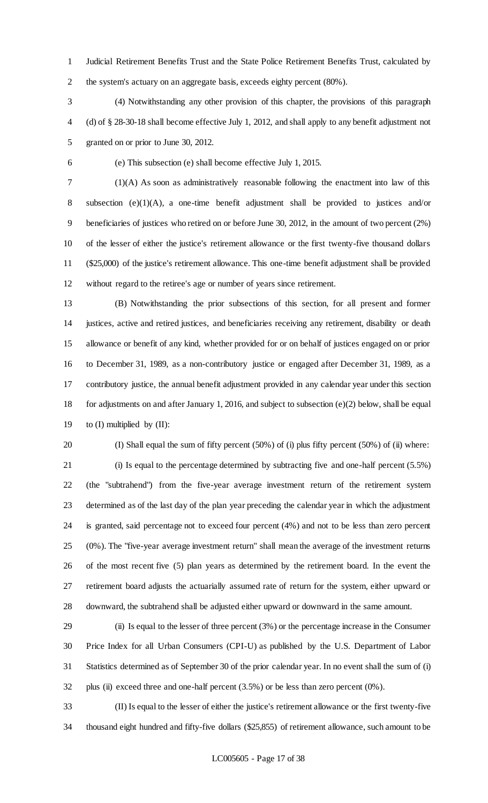Judicial Retirement Benefits Trust and the State Police Retirement Benefits Trust, calculated by the system's actuary on an aggregate basis, exceeds eighty percent (80%).

 (4) Notwithstanding any other provision of this chapter, the provisions of this paragraph (d) of § 28-30-18 shall become effective July 1, 2012, and shall apply to any benefit adjustment not granted on or prior to June 30, 2012.

(e) This subsection (e) shall become effective July 1, 2015.

 (1)(A) As soon as administratively reasonable following the enactment into law of this subsection (e)(1)(A), a one-time benefit adjustment shall be provided to justices and/or beneficiaries of justices who retired on or before June 30, 2012, in the amount of two percent (2%) of the lesser of either the justice's retirement allowance or the first twenty-five thousand dollars (\$25,000) of the justice's retirement allowance. This one-time benefit adjustment shall be provided without regard to the retiree's age or number of years since retirement.

 (B) Notwithstanding the prior subsections of this section, for all present and former justices, active and retired justices, and beneficiaries receiving any retirement, disability or death allowance or benefit of any kind, whether provided for or on behalf of justices engaged on or prior to December 31, 1989, as a non-contributory justice or engaged after December 31, 1989, as a contributory justice, the annual benefit adjustment provided in any calendar year under this section for adjustments on and after January 1, 2016, and subject to subsection (e)(2) below, shall be equal to (I) multiplied by (II):

(I) Shall equal the sum of fifty percent (50%) of (i) plus fifty percent (50%) of (ii) where:

 (i) Is equal to the percentage determined by subtracting five and one-half percent (5.5%) (the "subtrahend") from the five-year average investment return of the retirement system determined as of the last day of the plan year preceding the calendar year in which the adjustment is granted, said percentage not to exceed four percent (4%) and not to be less than zero percent (0%). The "five-year average investment return" shall mean the average of the investment returns of the most recent five (5) plan years as determined by the retirement board. In the event the retirement board adjusts the actuarially assumed rate of return for the system, either upward or downward, the subtrahend shall be adjusted either upward or downward in the same amount.

 (ii) Is equal to the lesser of three percent (3%) or the percentage increase in the Consumer Price Index for all Urban Consumers (CPI-U) as published by the U.S. Department of Labor Statistics determined as of September 30 of the prior calendar year. In no event shall the sum of (i) plus (ii) exceed three and one-half percent (3.5%) or be less than zero percent (0%).

 (II) Is equal to the lesser of either the justice's retirement allowance or the first twenty-five thousand eight hundred and fifty-five dollars (\$25,855) of retirement allowance, such amount to be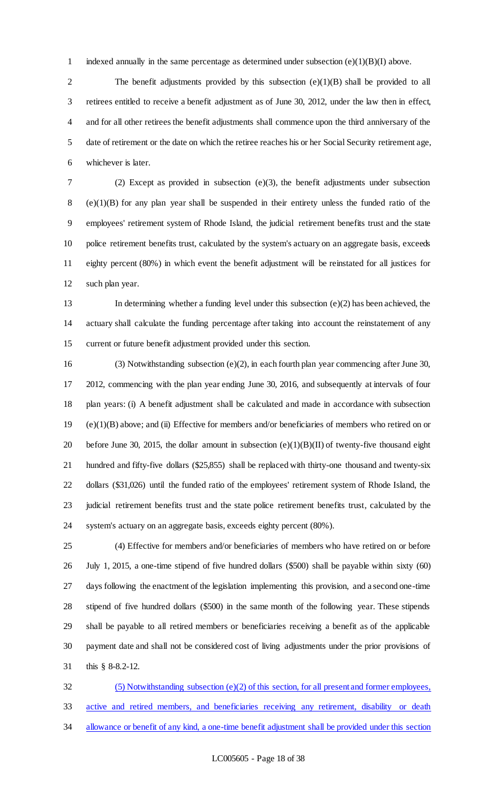1 indexed annually in the same percentage as determined under subsection  $(e)(1)(B)(I)$  above.

2 The benefit adjustments provided by this subsection (e)(1)(B) shall be provided to all retirees entitled to receive a benefit adjustment as of June 30, 2012, under the law then in effect, and for all other retirees the benefit adjustments shall commence upon the third anniversary of the date of retirement or the date on which the retiree reaches his or her Social Security retirement age, whichever is later.

 (2) Except as provided in subsection (e)(3), the benefit adjustments under subsection (e)(1)(B) for any plan year shall be suspended in their entirety unless the funded ratio of the employees' retirement system of Rhode Island, the judicial retirement benefits trust and the state police retirement benefits trust, calculated by the system's actuary on an aggregate basis, exceeds eighty percent (80%) in which event the benefit adjustment will be reinstated for all justices for such plan year.

 In determining whether a funding level under this subsection (e)(2) has been achieved, the actuary shall calculate the funding percentage after taking into account the reinstatement of any current or future benefit adjustment provided under this section.

 (3) Notwithstanding subsection (e)(2), in each fourth plan year commencing after June 30, 2012, commencing with the plan year ending June 30, 2016, and subsequently at intervals of four plan years: (i) A benefit adjustment shall be calculated and made in accordance with subsection (e)(1)(B) above; and (ii) Effective for members and/or beneficiaries of members who retired on or 20 before June 30, 2015, the dollar amount in subsection  $(e)(1)(B)(II)$  of twenty-five thousand eight hundred and fifty-five dollars (\$25,855) shall be replaced with thirty-one thousand and twenty-six dollars (\$31,026) until the funded ratio of the employees' retirement system of Rhode Island, the judicial retirement benefits trust and the state police retirement benefits trust, calculated by the system's actuary on an aggregate basis, exceeds eighty percent (80%).

 (4) Effective for members and/or beneficiaries of members who have retired on or before July 1, 2015, a one-time stipend of five hundred dollars (\$500) shall be payable within sixty (60) days following the enactment of the legislation implementing this provision, and a second one-time stipend of five hundred dollars (\$500) in the same month of the following year. These stipends shall be payable to all retired members or beneficiaries receiving a benefit as of the applicable payment date and shall not be considered cost of living adjustments under the prior provisions of this § 8-8.2-12.

 (5) Notwithstanding subsection (e)(2) of this section, for all present and former employees, active and retired members, and beneficiaries receiving any retirement, disability or death 34 allowance or benefit of any kind, a one-time benefit adjustment shall be provided under this section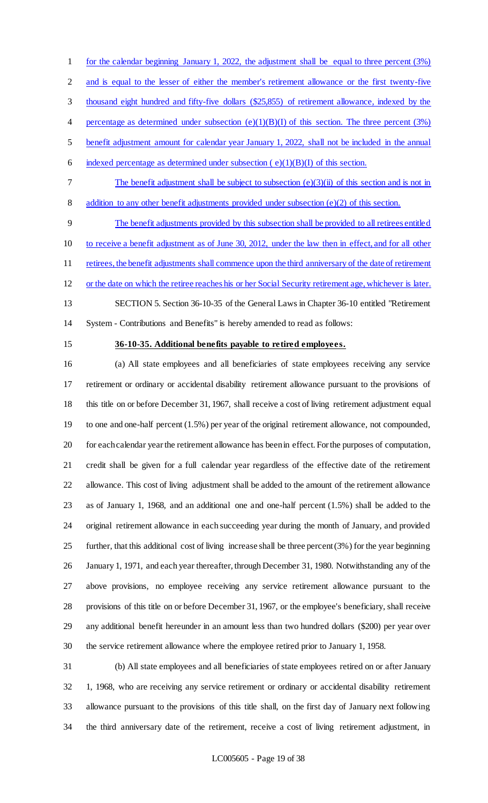for the calendar beginning January 1, 2022, the adjustment shall be equal to three percent (3%) 2 and is equal to the lesser of either the member's retirement allowance or the first twenty-five thousand eight hundred and fifty-five dollars (\$25,855) of retirement allowance, indexed by the 4 percentage as determined under subsection  $(e)(1)(B)(I)$  of this section. The three percent (3%) benefit adjustment amount for calendar year January 1, 2022, shall not be included in the annual 6 indexed percentage as determined under subsection  $(e)(1)(B)(I)$  of this section.

 The benefit adjustment shall be subject to subsection (e)(3)(ii) of this section and is not in 8 addition to any other benefit adjustments provided under subsection (e)(2) of this section.

 The benefit adjustments provided by this subsection shall be provided to all retirees entitled to receive a benefit adjustment as of June 30, 2012, under the law then in effect, and for all other 11 retirees, the benefit adjustments shall commence upon the third anniversary of the date of retirement or the date on which the retiree reaches his or her Social Security retirement age, whichever is later. SECTION 5. Section 36-10-35 of the General Laws in Chapter 36-10 entitled "Retirement

System - Contributions and Benefits" is hereby amended to read as follows:

#### **36-10-35. Additional benefits payable to retired employees.**

 (a) All state employees and all beneficiaries of state employees receiving any service retirement or ordinary or accidental disability retirement allowance pursuant to the provisions of this title on or before December 31, 1967, shall receive a cost of living retirement adjustment equal to one and one-half percent (1.5%) per year of the original retirement allowance, not compounded, for each calendar year the retirement allowance has been in effect. For the purposes of computation, credit shall be given for a full calendar year regardless of the effective date of the retirement allowance. This cost of living adjustment shall be added to the amount of the retirement allowance as of January 1, 1968, and an additional one and one-half percent (1.5%) shall be added to the original retirement allowance in each succeeding year during the month of January, and provided further, that this additional cost of living increase shall be three percent (3%) for the year beginning January 1, 1971, and each year thereafter, through December 31, 1980. Notwithstanding any of the above provisions, no employee receiving any service retirement allowance pursuant to the provisions of this title on or before December 31, 1967, or the employee's beneficiary, shall receive any additional benefit hereunder in an amount less than two hundred dollars (\$200) per year over the service retirement allowance where the employee retired prior to January 1, 1958.

 (b) All state employees and all beneficiaries of state employees retired on or after January 1, 1968, who are receiving any service retirement or ordinary or accidental disability retirement allowance pursuant to the provisions of this title shall, on the first day of January next following the third anniversary date of the retirement, receive a cost of living retirement adjustment, in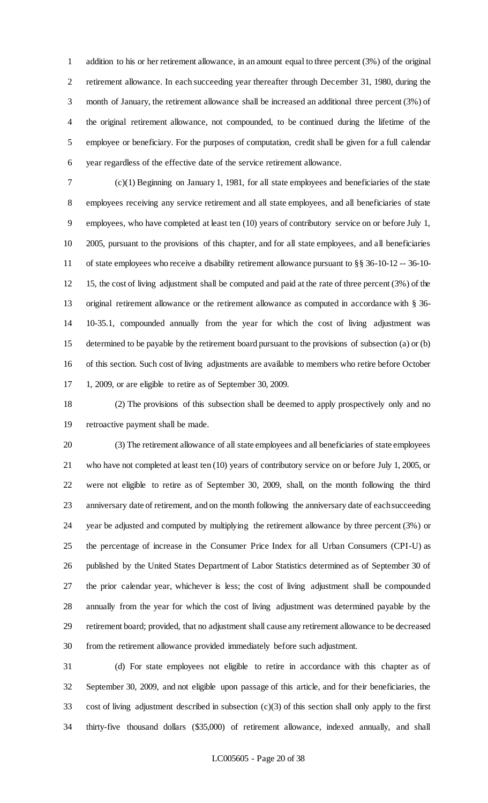addition to his or her retirement allowance, in an amount equal to three percent (3%) of the original retirement allowance. In each succeeding year thereafter through December 31, 1980, during the month of January, the retirement allowance shall be increased an additional three percent (3%) of the original retirement allowance, not compounded, to be continued during the lifetime of the employee or beneficiary. For the purposes of computation, credit shall be given for a full calendar year regardless of the effective date of the service retirement allowance.

 (c)(1) Beginning on January 1, 1981, for all state employees and beneficiaries of the state employees receiving any service retirement and all state employees, and all beneficiaries of state employees, who have completed at least ten (10) years of contributory service on or before July 1, 2005, pursuant to the provisions of this chapter, and for all state employees, and all beneficiaries of state employees who receive a disability retirement allowance pursuant to §§ 36-10-12 -- 36-10- 15, the cost of living adjustment shall be computed and paid at the rate of three percent (3%) of the original retirement allowance or the retirement allowance as computed in accordance with § 36- 10-35.1, compounded annually from the year for which the cost of living adjustment was determined to be payable by the retirement board pursuant to the provisions of subsection (a) or (b) of this section. Such cost of living adjustments are available to members who retire before October 1, 2009, or are eligible to retire as of September 30, 2009.

 (2) The provisions of this subsection shall be deemed to apply prospectively only and no retroactive payment shall be made.

 (3) The retirement allowance of all state employees and all beneficiaries of state employees who have not completed at least ten (10) years of contributory service on or before July 1, 2005, or were not eligible to retire as of September 30, 2009, shall, on the month following the third anniversary date of retirement, and on the month following the anniversary date of each succeeding year be adjusted and computed by multiplying the retirement allowance by three percent (3%) or the percentage of increase in the Consumer Price Index for all Urban Consumers (CPI-U) as published by the United States Department of Labor Statistics determined as of September 30 of the prior calendar year, whichever is less; the cost of living adjustment shall be compounded annually from the year for which the cost of living adjustment was determined payable by the retirement board; provided, that no adjustment shall cause any retirement allowance to be decreased from the retirement allowance provided immediately before such adjustment.

 (d) For state employees not eligible to retire in accordance with this chapter as of September 30, 2009, and not eligible upon passage of this article, and for their beneficiaries, the cost of living adjustment described in subsection (c)(3) of this section shall only apply to the first thirty-five thousand dollars (\$35,000) of retirement allowance, indexed annually, and shall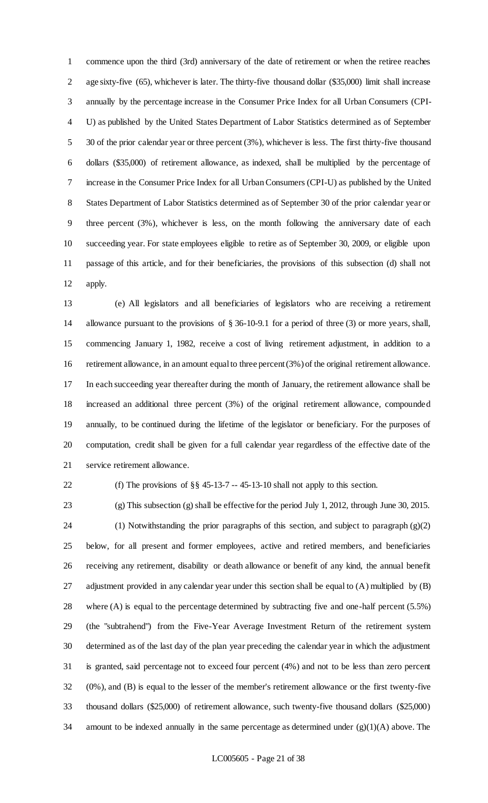commence upon the third (3rd) anniversary of the date of retirement or when the retiree reaches age sixty-five (65), whichever is later. The thirty-five thousand dollar (\$35,000) limit shall increase annually by the percentage increase in the Consumer Price Index for all Urban Consumers (CPI- U) as published by the United States Department of Labor Statistics determined as of September 30 of the prior calendar year or three percent (3%), whichever is less. The first thirty-five thousand dollars (\$35,000) of retirement allowance, as indexed, shall be multiplied by the percentage of increase in the Consumer Price Index for all Urban Consumers (CPI-U) as published by the United States Department of Labor Statistics determined as of September 30 of the prior calendar year or three percent (3%), whichever is less, on the month following the anniversary date of each succeeding year. For state employees eligible to retire as of September 30, 2009, or eligible upon passage of this article, and for their beneficiaries, the provisions of this subsection (d) shall not apply.

 (e) All legislators and all beneficiaries of legislators who are receiving a retirement allowance pursuant to the provisions of § 36-10-9.1 for a period of three (3) or more years, shall, commencing January 1, 1982, receive a cost of living retirement adjustment, in addition to a retirement allowance, in an amount equal to three percent (3%) of the original retirement allowance. In each succeeding year thereafter during the month of January, the retirement allowance shall be increased an additional three percent (3%) of the original retirement allowance, compounded annually, to be continued during the lifetime of the legislator or beneficiary. For the purposes of computation, credit shall be given for a full calendar year regardless of the effective date of the service retirement allowance.

(f) The provisions of §§ 45-13-7 -- 45-13-10 shall not apply to this section.

 (g) This subsection (g) shall be effective for the period July 1, 2012, through June 30, 2015. (1) Notwithstanding the prior paragraphs of this section, and subject to paragraph (g)(2) below, for all present and former employees, active and retired members, and beneficiaries receiving any retirement, disability or death allowance or benefit of any kind, the annual benefit adjustment provided in any calendar year under this section shall be equal to (A) multiplied by (B) where (A) is equal to the percentage determined by subtracting five and one-half percent (5.5%) (the "subtrahend") from the Five-Year Average Investment Return of the retirement system determined as of the last day of the plan year preceding the calendar year in which the adjustment is granted, said percentage not to exceed four percent (4%) and not to be less than zero percent (0%), and (B) is equal to the lesser of the member's retirement allowance or the first twenty-five thousand dollars (\$25,000) of retirement allowance, such twenty-five thousand dollars (\$25,000) amount to be indexed annually in the same percentage as determined under (g)(1)(A) above. The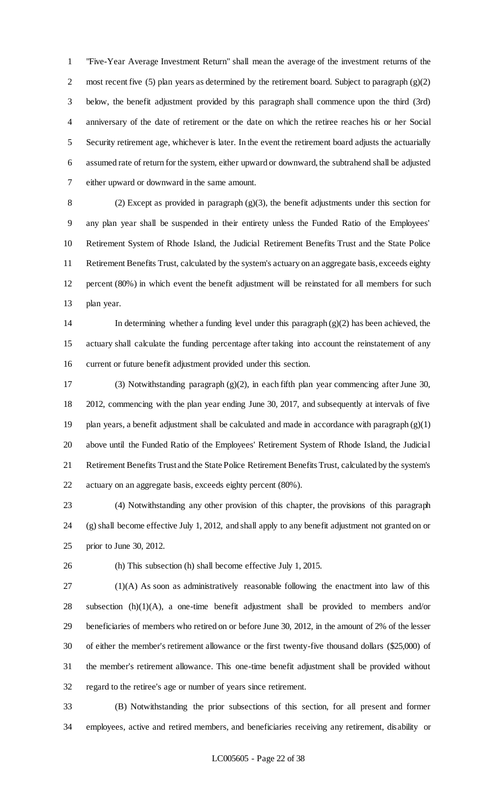"Five-Year Average Investment Return" shall mean the average of the investment returns of the 2 most recent five (5) plan years as determined by the retirement board. Subject to paragraph  $(g)(2)$  below, the benefit adjustment provided by this paragraph shall commence upon the third (3rd) anniversary of the date of retirement or the date on which the retiree reaches his or her Social Security retirement age, whichever is later. In the event the retirement board adjusts the actuarially assumed rate of return for the system, either upward or downward, the subtrahend shall be adjusted either upward or downward in the same amount.

 (2) Except as provided in paragraph (g)(3), the benefit adjustments under this section for any plan year shall be suspended in their entirety unless the Funded Ratio of the Employees' Retirement System of Rhode Island, the Judicial Retirement Benefits Trust and the State Police Retirement Benefits Trust, calculated by the system's actuary on an aggregate basis, exceeds eighty percent (80%) in which event the benefit adjustment will be reinstated for all members for such plan year.

14 In determining whether a funding level under this paragraph  $(g)(2)$  has been achieved, the actuary shall calculate the funding percentage after taking into account the reinstatement of any current or future benefit adjustment provided under this section.

 (3) Notwithstanding paragraph (g)(2), in each fifth plan year commencing after June 30, 2012, commencing with the plan year ending June 30, 2017, and subsequently at intervals of five plan years, a benefit adjustment shall be calculated and made in accordance with paragraph (g)(1) above until the Funded Ratio of the Employees' Retirement System of Rhode Island, the Judicial Retirement Benefits Trust and the State Police Retirement Benefits Trust, calculated by the system's actuary on an aggregate basis, exceeds eighty percent (80%).

 (4) Notwithstanding any other provision of this chapter, the provisions of this paragraph (g) shall become effective July 1, 2012, and shall apply to any benefit adjustment not granted on or prior to June 30, 2012.

(h) This subsection (h) shall become effective July 1, 2015.

 (1)(A) As soon as administratively reasonable following the enactment into law of this subsection (h)(1)(A), a one-time benefit adjustment shall be provided to members and/or beneficiaries of members who retired on or before June 30, 2012, in the amount of 2% of the lesser of either the member's retirement allowance or the first twenty-five thousand dollars (\$25,000) of the member's retirement allowance. This one-time benefit adjustment shall be provided without regard to the retiree's age or number of years since retirement.

 (B) Notwithstanding the prior subsections of this section, for all present and former employees, active and retired members, and beneficiaries receiving any retirement, disability or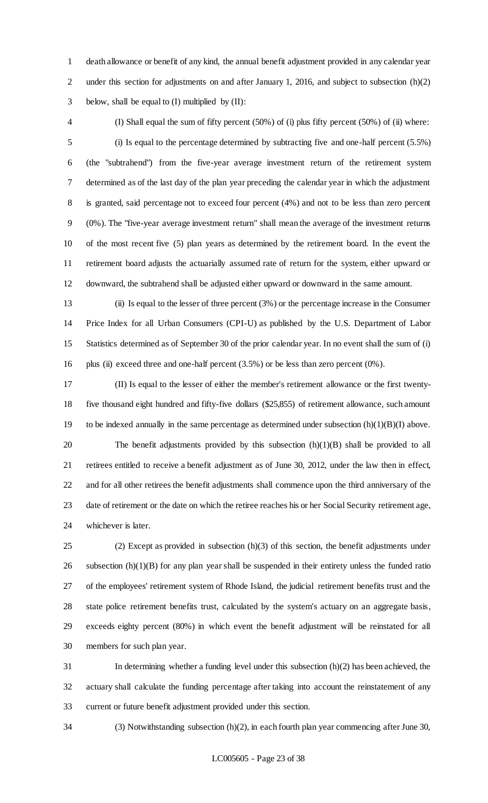death allowance or benefit of any kind, the annual benefit adjustment provided in any calendar year 2 under this section for adjustments on and after January 1, 2016, and subject to subsection (h)(2) 3 below, shall be equal to  $(I)$  multiplied by  $(II)$ :

 (I) Shall equal the sum of fifty percent (50%) of (i) plus fifty percent (50%) of (ii) where: (i) Is equal to the percentage determined by subtracting five and one-half percent (5.5%) (the "subtrahend") from the five-year average investment return of the retirement system determined as of the last day of the plan year preceding the calendar year in which the adjustment is granted, said percentage not to exceed four percent (4%) and not to be less than zero percent (0%). The "five-year average investment return" shall mean the average of the investment returns of the most recent five (5) plan years as determined by the retirement board. In the event the retirement board adjusts the actuarially assumed rate of return for the system, either upward or downward, the subtrahend shall be adjusted either upward or downward in the same amount.

 (ii) Is equal to the lesser of three percent (3%) or the percentage increase in the Consumer Price Index for all Urban Consumers (CPI-U) as published by the U.S. Department of Labor Statistics determined as of September 30 of the prior calendar year. In no event shall the sum of (i) plus (ii) exceed three and one-half percent (3.5%) or be less than zero percent (0%).

 (II) Is equal to the lesser of either the member's retirement allowance or the first twenty- five thousand eight hundred and fifty-five dollars (\$25,855) of retirement allowance, such amount to be indexed annually in the same percentage as determined under subsection (h)(1)(B)(I) above. The benefit adjustments provided by this subsection (h)(1)(B) shall be provided to all retirees entitled to receive a benefit adjustment as of June 30, 2012, under the law then in effect, and for all other retirees the benefit adjustments shall commence upon the third anniversary of the date of retirement or the date on which the retiree reaches his or her Social Security retirement age, whichever is later.

 (2) Except as provided in subsection (h)(3) of this section, the benefit adjustments under 26 subsection  $(h)(1)(B)$  for any plan year shall be suspended in their entirety unless the funded ratio of the employees' retirement system of Rhode Island, the judicial retirement benefits trust and the state police retirement benefits trust, calculated by the system's actuary on an aggregate basis, exceeds eighty percent (80%) in which event the benefit adjustment will be reinstated for all members for such plan year.

 In determining whether a funding level under this subsection (h)(2) has been achieved, the actuary shall calculate the funding percentage after taking into account the reinstatement of any current or future benefit adjustment provided under this section.

(3) Notwithstanding subsection (h)(2), in each fourth plan year commencing after June 30,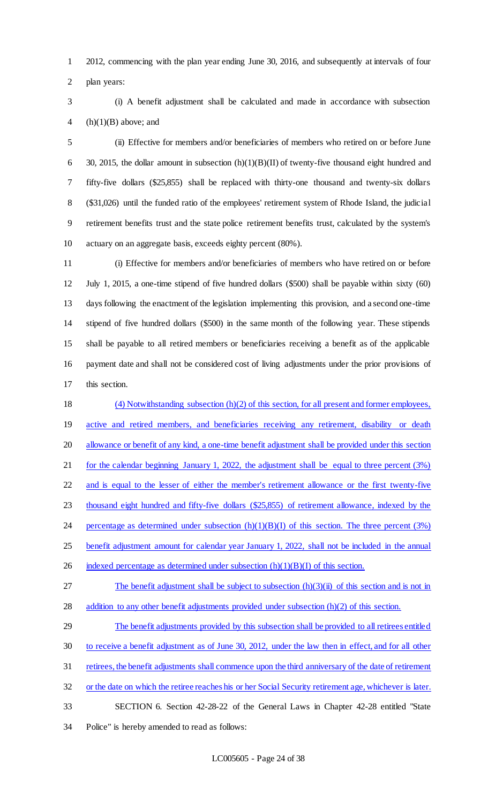2012, commencing with the plan year ending June 30, 2016, and subsequently at intervals of four plan years:

 (i) A benefit adjustment shall be calculated and made in accordance with subsection 4 (h) $(1)(B)$  above; and

 (ii) Effective for members and/or beneficiaries of members who retired on or before June 6 30, 2015, the dollar amount in subsection  $(h)(1)(B)(II)$  of twenty-five thousand eight hundred and fifty-five dollars (\$25,855) shall be replaced with thirty-one thousand and twenty-six dollars (\$31,026) until the funded ratio of the employees' retirement system of Rhode Island, the judicial retirement benefits trust and the state police retirement benefits trust, calculated by the system's actuary on an aggregate basis, exceeds eighty percent (80%).

 (i) Effective for members and/or beneficiaries of members who have retired on or before July 1, 2015, a one-time stipend of five hundred dollars (\$500) shall be payable within sixty (60) days following the enactment of the legislation implementing this provision, and a second one-time stipend of five hundred dollars (\$500) in the same month of the following year. These stipends shall be payable to all retired members or beneficiaries receiving a benefit as of the applicable payment date and shall not be considered cost of living adjustments under the prior provisions of this section.

 (4) Notwithstanding subsection (h)(2) of this section, for all present and former employees, 19 active and retired members, and beneficiaries receiving any retirement, disability or death allowance or benefit of any kind, a one-time benefit adjustment shall be provided under this section for the calendar beginning January 1, 2022, the adjustment shall be equal to three percent (3%) and is equal to the lesser of either the member's retirement allowance or the first twenty-five thousand eight hundred and fifty-five dollars (\$25,855) of retirement allowance, indexed by the 24 percentage as determined under subsection  $(h)(1)(B)(I)$  of this section. The three percent  $(3%)$  benefit adjustment amount for calendar year January 1, 2022, shall not be included in the annual 26 indexed percentage as determined under subsection  $(h)(1)(B)(I)$  of this section.

27 The benefit adjustment shall be subject to subsection  $(h)(3)(ii)$  of this section and is not in addition to any other benefit adjustments provided under subsection (h)(2) of this section.

 The benefit adjustments provided by this subsection shall be provided to all retirees entitled to receive a benefit adjustment as of June 30, 2012, under the law then in effect, and for all other retirees, the benefit adjustments shall commence upon the third anniversary of the date of retirement 32 or the date on which the retiree reaches his or her Social Security retirement age, whichever is later.

SECTION 6. Section 42-28-22 of the General Laws in Chapter 42-28 entitled "State

Police" is hereby amended to read as follows: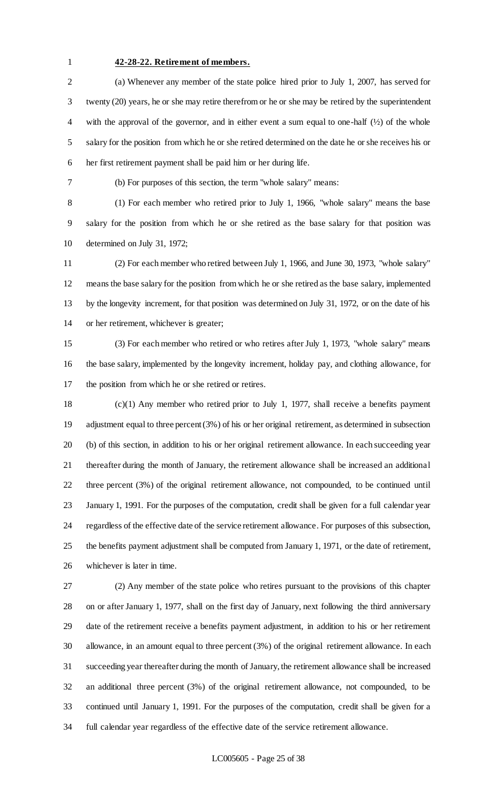#### **42-28-22. Retirement of members.**

 (a) Whenever any member of the state police hired prior to July 1, 2007, has served for twenty (20) years, he or she may retire therefrom or he or she may be retired by the superintendent with the approval of the governor, and in either event a sum equal to one-half (½) of the whole salary for the position from which he or she retired determined on the date he or she receives his or her first retirement payment shall be paid him or her during life.

(b) For purposes of this section, the term "whole salary" means:

 (1) For each member who retired prior to July 1, 1966, "whole salary" means the base salary for the position from which he or she retired as the base salary for that position was determined on July 31, 1972;

 (2) For each member who retired between July 1, 1966, and June 30, 1973, "whole salary" means the base salary for the position from which he or she retired as the base salary, implemented by the longevity increment, for that position was determined on July 31, 1972, or on the date of his or her retirement, whichever is greater;

 (3) For each member who retired or who retires after July 1, 1973, "whole salary" means the base salary, implemented by the longevity increment, holiday pay, and clothing allowance, for the position from which he or she retired or retires.

 (c)(1) Any member who retired prior to July 1, 1977, shall receive a benefits payment adjustment equal to three percent (3%) of his or her original retirement, as determined in subsection (b) of this section, in addition to his or her original retirement allowance. In each succeeding year thereafter during the month of January, the retirement allowance shall be increased an additional three percent (3%) of the original retirement allowance, not compounded, to be continued until January 1, 1991. For the purposes of the computation, credit shall be given for a full calendar year regardless of the effective date of the service retirement allowance. For purposes of this subsection, the benefits payment adjustment shall be computed from January 1, 1971, or the date of retirement, whichever is later in time.

 (2) Any member of the state police who retires pursuant to the provisions of this chapter on or after January 1, 1977, shall on the first day of January, next following the third anniversary date of the retirement receive a benefits payment adjustment, in addition to his or her retirement allowance, in an amount equal to three percent (3%) of the original retirement allowance. In each succeeding year thereafter during the month of January, the retirement allowance shall be increased an additional three percent (3%) of the original retirement allowance, not compounded, to be continued until January 1, 1991. For the purposes of the computation, credit shall be given for a full calendar year regardless of the effective date of the service retirement allowance.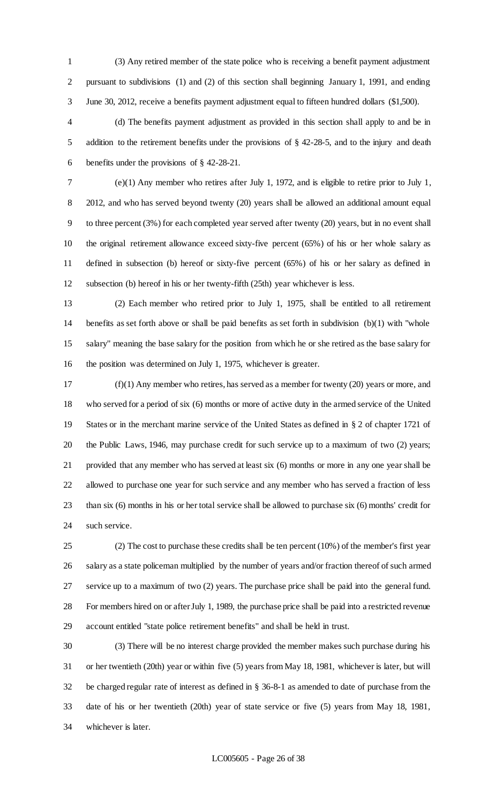(3) Any retired member of the state police who is receiving a benefit payment adjustment pursuant to subdivisions (1) and (2) of this section shall beginning January 1, 1991, and ending June 30, 2012, receive a benefits payment adjustment equal to fifteen hundred dollars (\$1,500).

 (d) The benefits payment adjustment as provided in this section shall apply to and be in addition to the retirement benefits under the provisions of § 42-28-5, and to the injury and death benefits under the provisions of § 42-28-21.

 (e)(1) Any member who retires after July 1, 1972, and is eligible to retire prior to July 1, 2012, and who has served beyond twenty (20) years shall be allowed an additional amount equal to three percent (3%) for each completed year served after twenty (20) years, but in no event shall the original retirement allowance exceed sixty-five percent (65%) of his or her whole salary as defined in subsection (b) hereof or sixty-five percent (65%) of his or her salary as defined in subsection (b) hereof in his or her twenty-fifth (25th) year whichever is less.

 (2) Each member who retired prior to July 1, 1975, shall be entitled to all retirement benefits as set forth above or shall be paid benefits as set forth in subdivision (b)(1) with "whole salary" meaning the base salary for the position from which he or she retired as the base salary for the position was determined on July 1, 1975, whichever is greater.

 (f)(1) Any member who retires, has served as a member for twenty (20) years or more, and who served for a period of six (6) months or more of active duty in the armed service of the United States or in the merchant marine service of the United States as defined in § 2 of chapter 1721 of the Public Laws, 1946, may purchase credit for such service up to a maximum of two (2) years; provided that any member who has served at least six (6) months or more in any one year shall be allowed to purchase one year for such service and any member who has served a fraction of less than six (6) months in his or her total service shall be allowed to purchase six (6) months' credit for such service.

 (2) The cost to purchase these credits shall be ten percent (10%) of the member's first year salary as a state policeman multiplied by the number of years and/or fraction thereof of such armed service up to a maximum of two (2) years. The purchase price shall be paid into the general fund. For members hired on or after July 1, 1989, the purchase price shall be paid into a restricted revenue account entitled "state police retirement benefits" and shall be held in trust.

 (3) There will be no interest charge provided the member makes such purchase during his or her twentieth (20th) year or within five (5) years from May 18, 1981, whichever is later, but will be charged regular rate of interest as defined in § 36-8-1 as amended to date of purchase from the date of his or her twentieth (20th) year of state service or five (5) years from May 18, 1981, whichever is later.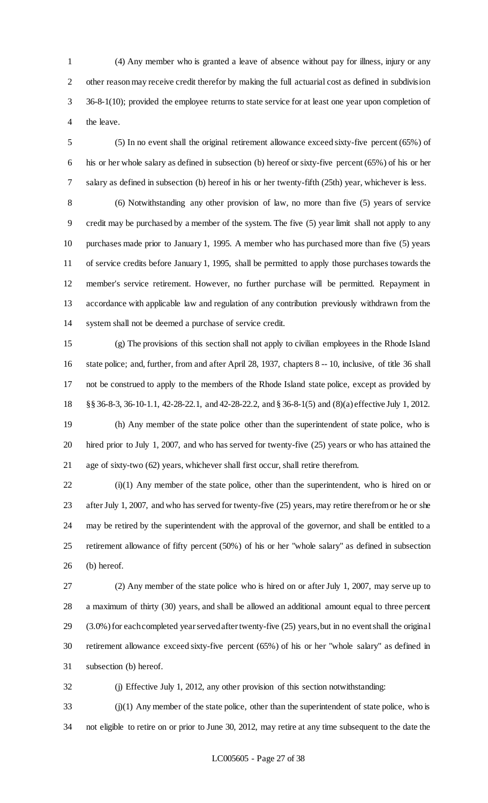(4) Any member who is granted a leave of absence without pay for illness, injury or any other reason may receive credit therefor by making the full actuarial cost as defined in subdivision 36-8-1(10); provided the employee returns to state service for at least one year upon completion of the leave.

 (5) In no event shall the original retirement allowance exceed sixty-five percent (65%) of his or her whole salary as defined in subsection (b) hereof or sixty-five percent (65%) of his or her salary as defined in subsection (b) hereof in his or her twenty-fifth (25th) year, whichever is less.

 (6) Notwithstanding any other provision of law, no more than five (5) years of service credit may be purchased by a member of the system. The five (5) year limit shall not apply to any purchases made prior to January 1, 1995. A member who has purchased more than five (5) years of service credits before January 1, 1995, shall be permitted to apply those purchases towards the member's service retirement. However, no further purchase will be permitted. Repayment in accordance with applicable law and regulation of any contribution previously withdrawn from the system shall not be deemed a purchase of service credit.

 (g) The provisions of this section shall not apply to civilian employees in the Rhode Island state police; and, further, from and after April 28, 1937, chapters 8 -- 10, inclusive, of title 36 shall not be construed to apply to the members of the Rhode Island state police, except as provided by §§ 36-8-3, 36-10-1.1, 42-28-22.1, and 42-28-22.2, and § 36-8-1(5) and (8)(a) effective July 1, 2012.

 (h) Any member of the state police other than the superintendent of state police, who is hired prior to July 1, 2007, and who has served for twenty-five (25) years or who has attained the age of sixty-two (62) years, whichever shall first occur, shall retire therefrom.

 (i)(1) Any member of the state police, other than the superintendent, who is hired on or after July 1, 2007, and who has served for twenty-five (25) years, may retire therefrom or he or she may be retired by the superintendent with the approval of the governor, and shall be entitled to a retirement allowance of fifty percent (50%) of his or her "whole salary" as defined in subsection (b) hereof.

 (2) Any member of the state police who is hired on or after July 1, 2007, may serve up to a maximum of thirty (30) years, and shall be allowed an additional amount equal to three percent (3.0%) for each completed year served after twenty-five (25) years, but in no event shall the original retirement allowance exceed sixty-five percent (65%) of his or her "whole salary" as defined in subsection (b) hereof.

(j) Effective July 1, 2012, any other provision of this section notwithstanding:

 (j)(1) Any member of the state police, other than the superintendent of state police, who is not eligible to retire on or prior to June 30, 2012, may retire at any time subsequent to the date the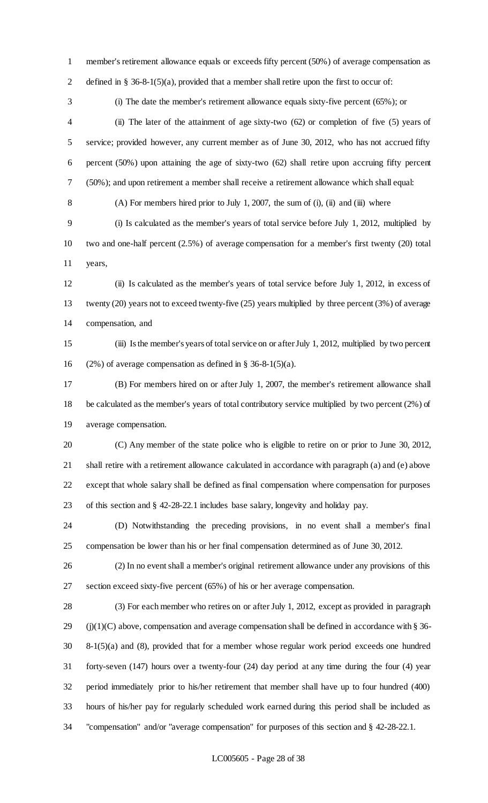member's retirement allowance equals or exceeds fifty percent (50%) of average compensation as defined in § 36-8-1(5)(a), provided that a member shall retire upon the first to occur of: (i) The date the member's retirement allowance equals sixty-five percent (65%); or (ii) The later of the attainment of age sixty-two (62) or completion of five (5) years of service; provided however, any current member as of June 30, 2012, who has not accrued fifty percent (50%) upon attaining the age of sixty-two (62) shall retire upon accruing fifty percent (50%); and upon retirement a member shall receive a retirement allowance which shall equal: (A) For members hired prior to July 1, 2007, the sum of (i), (ii) and (iii) where (i) Is calculated as the member's years of total service before July 1, 2012, multiplied by two and one-half percent (2.5%) of average compensation for a member's first twenty (20) total years, (ii) Is calculated as the member's years of total service before July 1, 2012, in excess of twenty (20) years not to exceed twenty-five (25) years multiplied by three percent (3%) of average compensation, and (iii) Is the member's years of total service on or after July 1, 2012, multiplied by two percent 16 (2%) of average compensation as defined in  $\S$  36-8-1(5)(a). (B) For members hired on or after July 1, 2007, the member's retirement allowance shall be calculated as the member's years of total contributory service multiplied by two percent (2%) of average compensation. (C) Any member of the state police who is eligible to retire on or prior to June 30, 2012, shall retire with a retirement allowance calculated in accordance with paragraph (a) and (e) above except that whole salary shall be defined as final compensation where compensation for purposes of this section and § 42-28-22.1 includes base salary, longevity and holiday pay. (D) Notwithstanding the preceding provisions, in no event shall a member's final compensation be lower than his or her final compensation determined as of June 30, 2012. (2) In no event shall a member's original retirement allowance under any provisions of this section exceed sixty-five percent (65%) of his or her average compensation. (3) For each member who retires on or after July 1, 2012, except as provided in paragraph 29 (j)(1)(C) above, compensation and average compensation shall be defined in accordance with  $\S 36$ - 8-1(5)(a) and (8), provided that for a member whose regular work period exceeds one hundred forty-seven (147) hours over a twenty-four (24) day period at any time during the four (4) year period immediately prior to his/her retirement that member shall have up to four hundred (400) hours of his/her pay for regularly scheduled work earned during this period shall be included as "compensation" and/or "average compensation" for purposes of this section and § 42-28-22.1.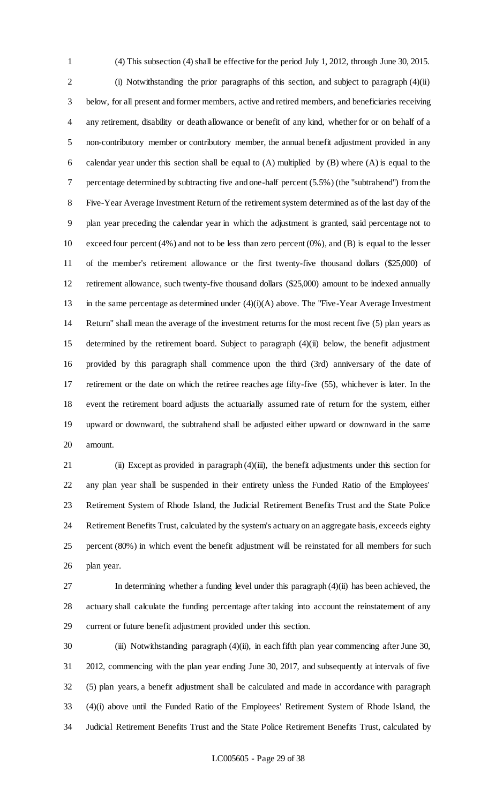(4) This subsection (4) shall be effective for the period July 1, 2012, through June 30, 2015. (i) Notwithstanding the prior paragraphs of this section, and subject to paragraph (4)(ii) below, for all present and former members, active and retired members, and beneficiaries receiving any retirement, disability or death allowance or benefit of any kind, whether for or on behalf of a non-contributory member or contributory member, the annual benefit adjustment provided in any calendar year under this section shall be equal to (A) multiplied by (B) where (A) is equal to the percentage determined by subtracting five and one-half percent (5.5%) (the "subtrahend") from the Five-Year Average Investment Return of the retirement system determined as of the last day of the plan year preceding the calendar year in which the adjustment is granted, said percentage not to exceed four percent (4%) and not to be less than zero percent (0%), and (B) is equal to the lesser of the member's retirement allowance or the first twenty-five thousand dollars (\$25,000) of retirement allowance, such twenty-five thousand dollars (\$25,000) amount to be indexed annually in the same percentage as determined under (4)(i)(A) above. The "Five-Year Average Investment Return" shall mean the average of the investment returns for the most recent five (5) plan years as determined by the retirement board. Subject to paragraph (4)(ii) below, the benefit adjustment provided by this paragraph shall commence upon the third (3rd) anniversary of the date of retirement or the date on which the retiree reaches age fifty-five (55), whichever is later. In the event the retirement board adjusts the actuarially assumed rate of return for the system, either upward or downward, the subtrahend shall be adjusted either upward or downward in the same amount.

 (ii) Except as provided in paragraph (4)(iii), the benefit adjustments under this section for any plan year shall be suspended in their entirety unless the Funded Ratio of the Employees' Retirement System of Rhode Island, the Judicial Retirement Benefits Trust and the State Police Retirement Benefits Trust, calculated by the system's actuary on an aggregate basis, exceeds eighty percent (80%) in which event the benefit adjustment will be reinstated for all members for such plan year.

 In determining whether a funding level under this paragraph (4)(ii) has been achieved, the actuary shall calculate the funding percentage after taking into account the reinstatement of any current or future benefit adjustment provided under this section.

 (iii) Notwithstanding paragraph (4)(ii), in each fifth plan year commencing after June 30, 2012, commencing with the plan year ending June 30, 2017, and subsequently at intervals of five (5) plan years, a benefit adjustment shall be calculated and made in accordance with paragraph (4)(i) above until the Funded Ratio of the Employees' Retirement System of Rhode Island, the Judicial Retirement Benefits Trust and the State Police Retirement Benefits Trust, calculated by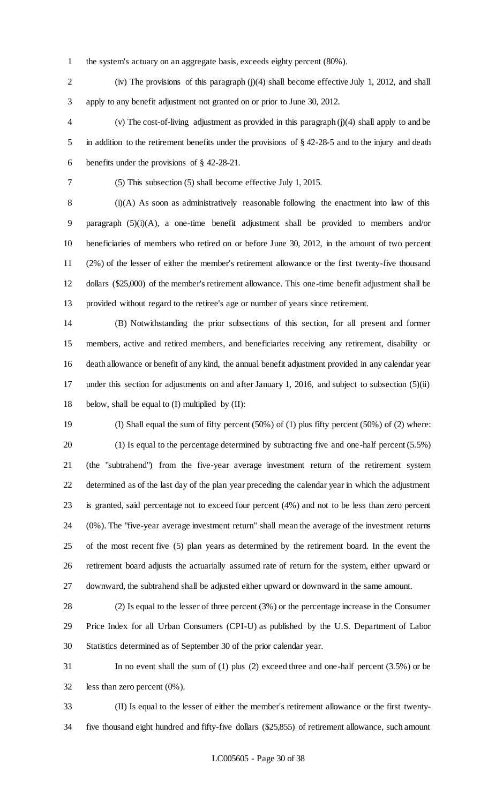the system's actuary on an aggregate basis, exceeds eighty percent (80%).

 (iv) The provisions of this paragraph (j)(4) shall become effective July 1, 2012, and shall apply to any benefit adjustment not granted on or prior to June 30, 2012.

 (v) The cost-of-living adjustment as provided in this paragraph (j)(4) shall apply to and be in addition to the retirement benefits under the provisions of § 42-28-5 and to the injury and death benefits under the provisions of § 42-28-21.

(5) This subsection (5) shall become effective July 1, 2015.

 (i)(A) As soon as administratively reasonable following the enactment into law of this paragraph (5)(i)(A), a one-time benefit adjustment shall be provided to members and/or beneficiaries of members who retired on or before June 30, 2012, in the amount of two percent (2%) of the lesser of either the member's retirement allowance or the first twenty-five thousand dollars (\$25,000) of the member's retirement allowance. This one-time benefit adjustment shall be provided without regard to the retiree's age or number of years since retirement.

 (B) Notwithstanding the prior subsections of this section, for all present and former members, active and retired members, and beneficiaries receiving any retirement, disability or death allowance or benefit of any kind, the annual benefit adjustment provided in any calendar year under this section for adjustments on and after January 1, 2016, and subject to subsection (5)(ii) 18 below, shall be equal to  $(I)$  multiplied by  $(II)$ :

 (I) Shall equal the sum of fifty percent (50%) of (1) plus fifty percent (50%) of (2) where: (1) Is equal to the percentage determined by subtracting five and one-half percent (5.5%) (the "subtrahend") from the five-year average investment return of the retirement system determined as of the last day of the plan year preceding the calendar year in which the adjustment is granted, said percentage not to exceed four percent (4%) and not to be less than zero percent (0%). The "five-year average investment return" shall mean the average of the investment returns of the most recent five (5) plan years as determined by the retirement board. In the event the retirement board adjusts the actuarially assumed rate of return for the system, either upward or downward, the subtrahend shall be adjusted either upward or downward in the same amount.

 (2) Is equal to the lesser of three percent (3%) or the percentage increase in the Consumer Price Index for all Urban Consumers (CPI-U) as published by the U.S. Department of Labor Statistics determined as of September 30 of the prior calendar year.

 In no event shall the sum of (1) plus (2) exceed three and one-half percent (3.5%) or be less than zero percent (0%).

 (II) Is equal to the lesser of either the member's retirement allowance or the first twenty-five thousand eight hundred and fifty-five dollars (\$25,855) of retirement allowance, such amount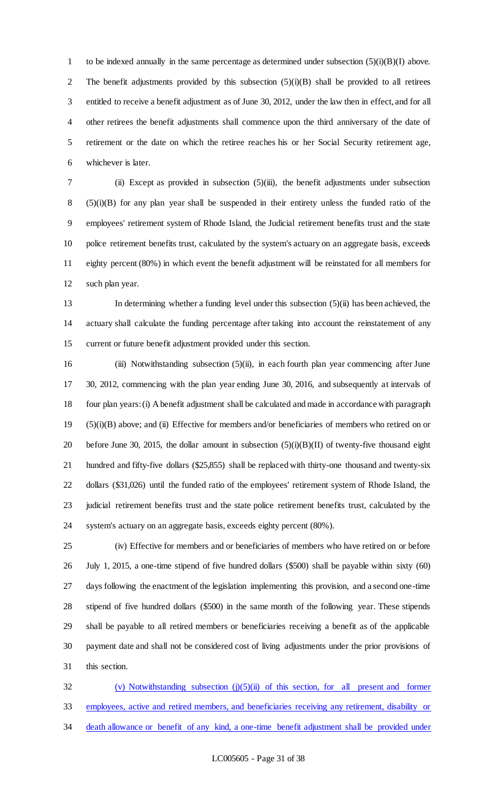to be indexed annually in the same percentage as determined under subsection (5)(i)(B)(I) above. The benefit adjustments provided by this subsection (5)(i)(B) shall be provided to all retirees entitled to receive a benefit adjustment as of June 30, 2012, under the law then in effect, and for all other retirees the benefit adjustments shall commence upon the third anniversary of the date of retirement or the date on which the retiree reaches his or her Social Security retirement age, whichever is later.

 (ii) Except as provided in subsection (5)(iii), the benefit adjustments under subsection (5)(i)(B) for any plan year shall be suspended in their entirety unless the funded ratio of the employees' retirement system of Rhode Island, the Judicial retirement benefits trust and the state police retirement benefits trust, calculated by the system's actuary on an aggregate basis, exceeds eighty percent (80%) in which event the benefit adjustment will be reinstated for all members for such plan year.

 In determining whether a funding level under this subsection (5)(ii) has been achieved, the actuary shall calculate the funding percentage after taking into account the reinstatement of any current or future benefit adjustment provided under this section.

 (iii) Notwithstanding subsection (5)(ii), in each fourth plan year commencing after June 30, 2012, commencing with the plan year ending June 30, 2016, and subsequently at intervals of four plan years: (i) A benefit adjustment shall be calculated and made in accordance with paragraph (5)(i)(B) above; and (ii) Effective for members and/or beneficiaries of members who retired on or 20 before June 30, 2015, the dollar amount in subsection  $(5)(i)(B)(II)$  of twenty-five thousand eight hundred and fifty-five dollars (\$25,855) shall be replaced with thirty-one thousand and twenty-six dollars (\$31,026) until the funded ratio of the employees' retirement system of Rhode Island, the judicial retirement benefits trust and the state police retirement benefits trust, calculated by the system's actuary on an aggregate basis, exceeds eighty percent (80%).

 (iv) Effective for members and or beneficiaries of members who have retired on or before July 1, 2015, a one-time stipend of five hundred dollars (\$500) shall be payable within sixty (60) days following the enactment of the legislation implementing this provision, and a second one-time stipend of five hundred dollars (\$500) in the same month of the following year. These stipends shall be payable to all retired members or beneficiaries receiving a benefit as of the applicable payment date and shall not be considered cost of living adjustments under the prior provisions of this section.

32 (v) Notwithstanding subsection (j)(5)(ii) of this section, for all present and former employees, active and retired members, and beneficiaries receiving any retirement, disability or death allowance or benefit of any kind, a one-time benefit adjustment shall be provided under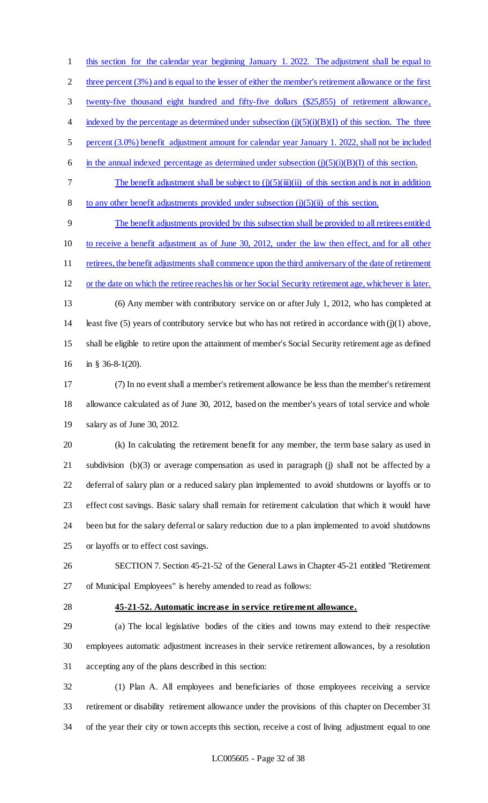this section for the calendar year beginning January 1. 2022. The adjustment shall be equal to 2 three percent (3%) and is equal to the lesser of either the member's retirement allowance or the first twenty-five thousand eight hundred and fifty-five dollars (\$25,855) of retirement allowance, 4 indexed by the percentage as determined under subsection  $(j)(5)(i)(B)(I)$  of this section. The three percent (3.0%) benefit adjustment amount for calendar year January 1. 2022, shall not be included 6 in the annual indexed percentage as determined under subsection  $(j)(5)(i)(B)(I)$  of this section. 7 The benefit adjustment shall be subject to  $(j)(5)(iii)(ii)$  of this section and is not in addition 8 to any other benefit adjustments provided under subsection  $(j)(5)(ii)$  of this section. The benefit adjustments provided by this subsection shall be provided to all retirees entitled to receive a benefit adjustment as of June 30, 2012, under the law then effect, and for all other 11 retirees, the benefit adjustments shall commence upon the third anniversary of the date of retirement or the date on which the retiree reaches his or her Social Security retirement age, whichever is later. (6) Any member with contributory service on or after July 1, 2012, who has completed at least five (5) years of contributory service but who has not retired in accordance with (j)(1) above,

 shall be eligible to retire upon the attainment of member's Social Security retirement age as defined in § 36-8-1(20).

 (7) In no event shall a member's retirement allowance be less than the member's retirement allowance calculated as of June 30, 2012, based on the member's years of total service and whole salary as of June 30, 2012.

 (k) In calculating the retirement benefit for any member, the term base salary as used in subdivision (b)(3) or average compensation as used in paragraph (j) shall not be affected by a deferral of salary plan or a reduced salary plan implemented to avoid shutdowns or layoffs or to effect cost savings. Basic salary shall remain for retirement calculation that which it would have been but for the salary deferral or salary reduction due to a plan implemented to avoid shutdowns or layoffs or to effect cost savings.

 SECTION 7. Section 45-21-52 of the General Laws in Chapter 45-21 entitled "Retirement of Municipal Employees" is hereby amended to read as follows:

#### **45-21-52. Automatic increase in service retirement allowance.**

 (a) The local legislative bodies of the cities and towns may extend to their respective employees automatic adjustment increases in their service retirement allowances, by a resolution accepting any of the plans described in this section:

 (1) Plan A. All employees and beneficiaries of those employees receiving a service retirement or disability retirement allowance under the provisions of this chapter on December 31 of the year their city or town accepts this section, receive a cost of living adjustment equal to one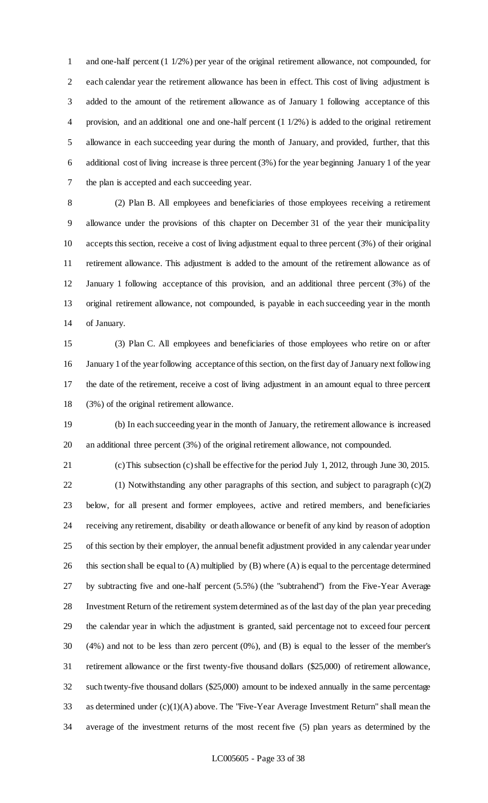and one-half percent (1 1/2%) per year of the original retirement allowance, not compounded, for each calendar year the retirement allowance has been in effect. This cost of living adjustment is added to the amount of the retirement allowance as of January 1 following acceptance of this provision, and an additional one and one-half percent (1 1/2%) is added to the original retirement allowance in each succeeding year during the month of January, and provided, further, that this additional cost of living increase is three percent (3%) for the year beginning January 1 of the year the plan is accepted and each succeeding year.

 (2) Plan B. All employees and beneficiaries of those employees receiving a retirement allowance under the provisions of this chapter on December 31 of the year their municipality accepts this section, receive a cost of living adjustment equal to three percent (3%) of their original retirement allowance. This adjustment is added to the amount of the retirement allowance as of January 1 following acceptance of this provision, and an additional three percent (3%) of the original retirement allowance, not compounded, is payable in each succeeding year in the month of January.

 (3) Plan C. All employees and beneficiaries of those employees who retire on or after January 1 of the year following acceptance of this section, on the first day of January next following the date of the retirement, receive a cost of living adjustment in an amount equal to three percent (3%) of the original retirement allowance.

 (b) In each succeeding year in the month of January, the retirement allowance is increased an additional three percent (3%) of the original retirement allowance, not compounded.

(c) This subsection (c) shall be effective for the period July 1, 2012, through June 30, 2015.

 (1) Notwithstanding any other paragraphs of this section, and subject to paragraph (c)(2) below, for all present and former employees, active and retired members, and beneficiaries receiving any retirement, disability or death allowance or benefit of any kind by reason of adoption of this section by their employer, the annual benefit adjustment provided in any calendar year under this section shall be equal to (A) multiplied by (B) where (A) is equal to the percentage determined by subtracting five and one-half percent (5.5%) (the "subtrahend") from the Five-Year Average Investment Return of the retirement system determined as of the last day of the plan year preceding the calendar year in which the adjustment is granted, said percentage not to exceed four percent (4%) and not to be less than zero percent (0%), and (B) is equal to the lesser of the member's retirement allowance or the first twenty-five thousand dollars (\$25,000) of retirement allowance, such twenty-five thousand dollars (\$25,000) amount to be indexed annually in the same percentage as determined under (c)(1)(A) above. The "Five-Year Average Investment Return" shall mean the average of the investment returns of the most recent five (5) plan years as determined by the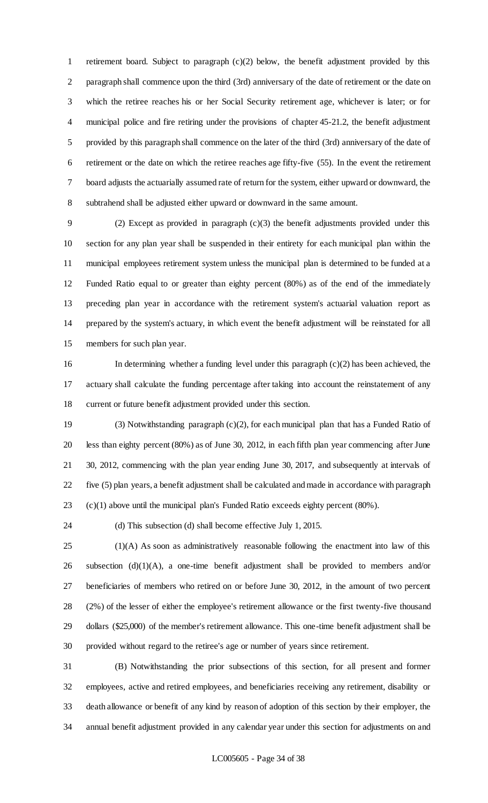retirement board. Subject to paragraph (c)(2) below, the benefit adjustment provided by this paragraph shall commence upon the third (3rd) anniversary of the date of retirement or the date on which the retiree reaches his or her Social Security retirement age, whichever is later; or for municipal police and fire retiring under the provisions of chapter 45-21.2, the benefit adjustment provided by this paragraph shall commence on the later of the third (3rd) anniversary of the date of retirement or the date on which the retiree reaches age fifty-five (55). In the event the retirement board adjusts the actuarially assumed rate of return for the system, either upward or downward, the subtrahend shall be adjusted either upward or downward in the same amount.

 (2) Except as provided in paragraph (c)(3) the benefit adjustments provided under this section for any plan year shall be suspended in their entirety for each municipal plan within the municipal employees retirement system unless the municipal plan is determined to be funded at a Funded Ratio equal to or greater than eighty percent (80%) as of the end of the immediately preceding plan year in accordance with the retirement system's actuarial valuation report as prepared by the system's actuary, in which event the benefit adjustment will be reinstated for all members for such plan year.

 In determining whether a funding level under this paragraph (c)(2) has been achieved, the actuary shall calculate the funding percentage after taking into account the reinstatement of any current or future benefit adjustment provided under this section.

 (3) Notwithstanding paragraph (c)(2), for each municipal plan that has a Funded Ratio of less than eighty percent (80%) as of June 30, 2012, in each fifth plan year commencing after June 30, 2012, commencing with the plan year ending June 30, 2017, and subsequently at intervals of five (5) plan years, a benefit adjustment shall be calculated and made in accordance with paragraph (c)(1) above until the municipal plan's Funded Ratio exceeds eighty percent (80%).

(d) This subsection (d) shall become effective July 1, 2015.

 (1)(A) As soon as administratively reasonable following the enactment into law of this subsection (d)(1)(A), a one-time benefit adjustment shall be provided to members and/or beneficiaries of members who retired on or before June 30, 2012, in the amount of two percent (2%) of the lesser of either the employee's retirement allowance or the first twenty-five thousand dollars (\$25,000) of the member's retirement allowance. This one-time benefit adjustment shall be provided without regard to the retiree's age or number of years since retirement.

 (B) Notwithstanding the prior subsections of this section, for all present and former employees, active and retired employees, and beneficiaries receiving any retirement, disability or death allowance or benefit of any kind by reason of adoption of this section by their employer, the annual benefit adjustment provided in any calendar year under this section for adjustments on and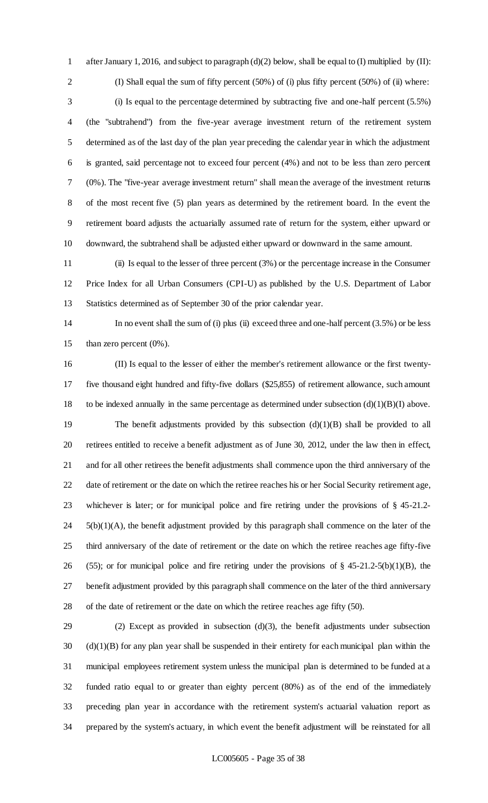after January 1, 2016, and subject to paragraph (d)(2) below, shall be equal to (I) multiplied by (II): (I) Shall equal the sum of fifty percent (50%) of (i) plus fifty percent (50%) of (ii) where: (i) Is equal to the percentage determined by subtracting five and one-half percent (5.5%) (the "subtrahend") from the five-year average investment return of the retirement system determined as of the last day of the plan year preceding the calendar year in which the adjustment is granted, said percentage not to exceed four percent (4%) and not to be less than zero percent (0%). The "five-year average investment return" shall mean the average of the investment returns of the most recent five (5) plan years as determined by the retirement board. In the event the retirement board adjusts the actuarially assumed rate of return for the system, either upward or downward, the subtrahend shall be adjusted either upward or downward in the same amount.

 (ii) Is equal to the lesser of three percent (3%) or the percentage increase in the Consumer Price Index for all Urban Consumers (CPI-U) as published by the U.S. Department of Labor Statistics determined as of September 30 of the prior calendar year.

 In no event shall the sum of (i) plus (ii) exceed three and one-half percent (3.5%) or be less than zero percent (0%).

 (II) Is equal to the lesser of either the member's retirement allowance or the first twenty- five thousand eight hundred and fifty-five dollars (\$25,855) of retirement allowance, such amount 18 to be indexed annually in the same percentage as determined under subsection  $(d)(1)(B)(I)$  above. 19 The benefit adjustments provided by this subsection (d)(1)(B) shall be provided to all retirees entitled to receive a benefit adjustment as of June 30, 2012, under the law then in effect, and for all other retirees the benefit adjustments shall commence upon the third anniversary of the date of retirement or the date on which the retiree reaches his or her Social Security retirement age, whichever is later; or for municipal police and fire retiring under the provisions of § 45-21.2- 5(b)(1)(A), the benefit adjustment provided by this paragraph shall commence on the later of the third anniversary of the date of retirement or the date on which the retiree reaches age fifty-five 26 (55); or for municipal police and fire retiring under the provisions of  $\S$  45-21.2-5(b)(1)(B), the benefit adjustment provided by this paragraph shall commence on the later of the third anniversary of the date of retirement or the date on which the retiree reaches age fifty (50).

 (2) Except as provided in subsection (d)(3), the benefit adjustments under subsection (d)(1)(B) for any plan year shall be suspended in their entirety for each municipal plan within the municipal employees retirement system unless the municipal plan is determined to be funded at a funded ratio equal to or greater than eighty percent (80%) as of the end of the immediately preceding plan year in accordance with the retirement system's actuarial valuation report as prepared by the system's actuary, in which event the benefit adjustment will be reinstated for all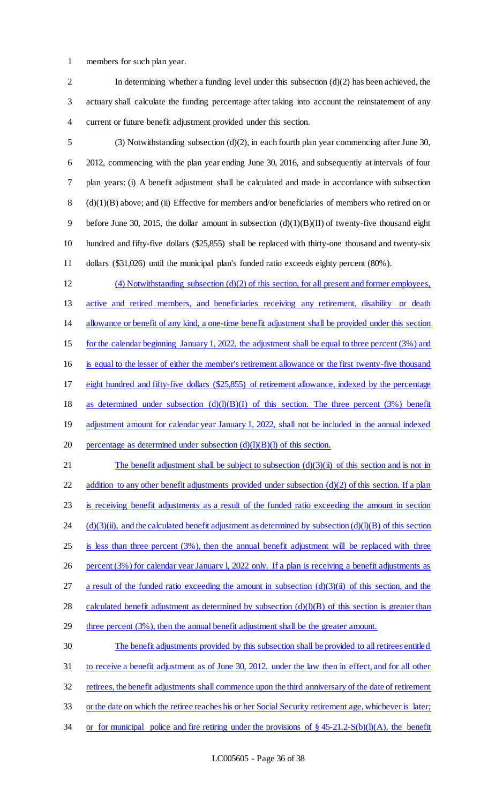1 members for such plan year.

2 In determining whether a funding level under this subsection (d)(2) has been achieved, the 3 actuary shall calculate the funding percentage after taking into account the reinstatement of any 4 current or future benefit adjustment provided under this section.

 (3) Notwithstanding subsection (d)(2), in each fourth plan year commencing after June 30, 2012, commencing with the plan year ending June 30, 2016, and subsequently at intervals of four plan years: (i) A benefit adjustment shall be calculated and made in accordance with subsection (d)(1)(B) above; and (ii) Effective for members and/or beneficiaries of members who retired on or 9 before June 30, 2015, the dollar amount in subsection  $(d)(1)(B)(II)$  of twenty-five thousand eight hundred and fifty-five dollars (\$25,855) shall be replaced with thirty-one thousand and twenty-six dollars (\$31,026) until the municipal plan's funded ratio exceeds eighty percent (80%).

 (4) Notwithstanding subsection (d)(2) of this section, for all present and former employees, active and retired members, and beneficiaries receiving any retirement, disability or death allowance or benefit of any kind, a one-time benefit adjustment shall be provided under this section for the calendar beginning January 1, 2022, the adjustment shall be equal to three percent (3%) and is equal to the lesser of either the member's retirement allowance or the first twenty-five thousand eight hundred and fifty-five dollars (\$25,855) of retirement allowance, indexed by the percentage 18 as determined under subsection  $(d)(l)(B)(I)$  of this section. The three percent (3%) benefit 19 adjustment amount for calendar year January 1, 2022, shall not be included in the annual indexed 20 percentage as determined under subsection  $(d)(l)(B)(l)$  of this section.

21 The benefit adjustment shall be subject to subsection  $(d)(3)(ii)$  of this section and is not in 22 addition to any other benefit adjustments provided under subsection  $(d)(2)$  of this section. If a plan 23 is receiving benefit adjustments as a result of the funded ratio exceeding the amount in section 24  $(d)(3)(ii)$ , and the calculated benefit adjustment as determined by subsection (d)(l)(B) of this section 25 is less than three percent (3%), then the annual benefit adjustment will be replaced with three 26 percent (3%) for calendar year January 1, 2022 only. If a plan is receiving a benefit adjustments as 27 a result of the funded ratio exceeding the amount in subsection  $(d)(3)(ii)$  of this section, and the 28 calculated benefit adjustment as determined by subsection  $(d)(l)(B)$  of this section is greater than 29 three percent (3%), then the annual benefit adjustment shall be the greater amount. 30 The benefit adjustments provided by this subsection shall be provided to all retirees entitled

31 to receive a benefit adjustment as of June 30, 2012. under the law then in effect, and for all other 32 retirees, the benefit adjustments shall commence upon the third anniversary of the date of retirement 33 or the date on which the retiree reaches his or her Social Security retirement age, whichever is later;

34 or for municipal police and fire retiring under the provisions of  $\S 45-21.2-S(b)(l)(A)$ , the benefit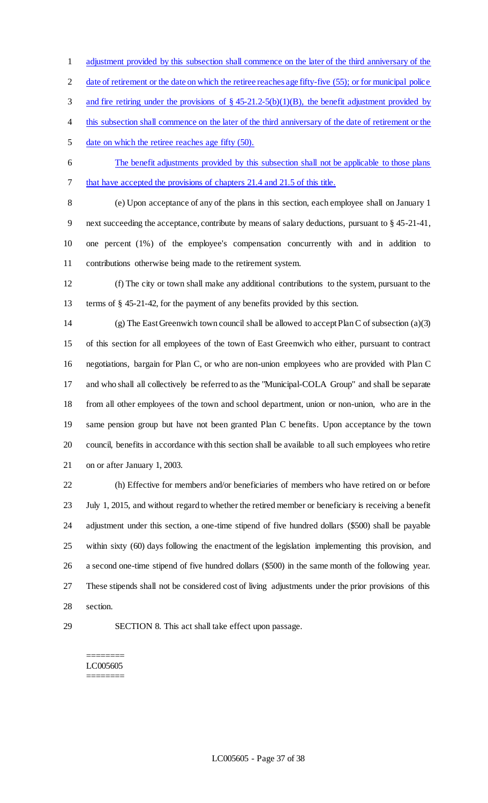adjustment provided by this subsection shall commence on the later of the third anniversary of the

2 date of retirement or the date on which the retiree reaches age fifty-five (55); or for municipal police

3 and fire retiring under the provisions of § 45-21.2-5(b)(1)(B), the benefit adjustment provided by

- 4 this subsection shall commence on the later of the third anniversary of the date of retirement or the
- date on which the retiree reaches age fifty (50).
- The benefit adjustments provided by this subsection shall not be applicable to those plans
- that have accepted the provisions of chapters 21.4 and 21.5 of this title.

 (e) Upon acceptance of any of the plans in this section, each employee shall on January 1 next succeeding the acceptance, contribute by means of salary deductions, pursuant to § 45-21-41, one percent (1%) of the employee's compensation concurrently with and in addition to contributions otherwise being made to the retirement system.

 (f) The city or town shall make any additional contributions to the system, pursuant to the terms of § 45-21-42, for the payment of any benefits provided by this section.

 (g) The East Greenwich town council shall be allowed to accept Plan C of subsection (a)(3) of this section for all employees of the town of East Greenwich who either, pursuant to contract negotiations, bargain for Plan C, or who are non-union employees who are provided with Plan C and who shall all collectively be referred to as the "Municipal-COLA Group" and shall be separate from all other employees of the town and school department, union or non-union, who are in the same pension group but have not been granted Plan C benefits. Upon acceptance by the town council, benefits in accordance with this section shall be available to all such employees who retire on or after January 1, 2003.

 (h) Effective for members and/or beneficiaries of members who have retired on or before July 1, 2015, and without regard to whether the retired member or beneficiary is receiving a benefit adjustment under this section, a one-time stipend of five hundred dollars (\$500) shall be payable within sixty (60) days following the enactment of the legislation implementing this provision, and a second one-time stipend of five hundred dollars (\$500) in the same month of the following year. These stipends shall not be considered cost of living adjustments under the prior provisions of this section.

SECTION 8. This act shall take effect upon passage.

#### ======== LC005605 ========